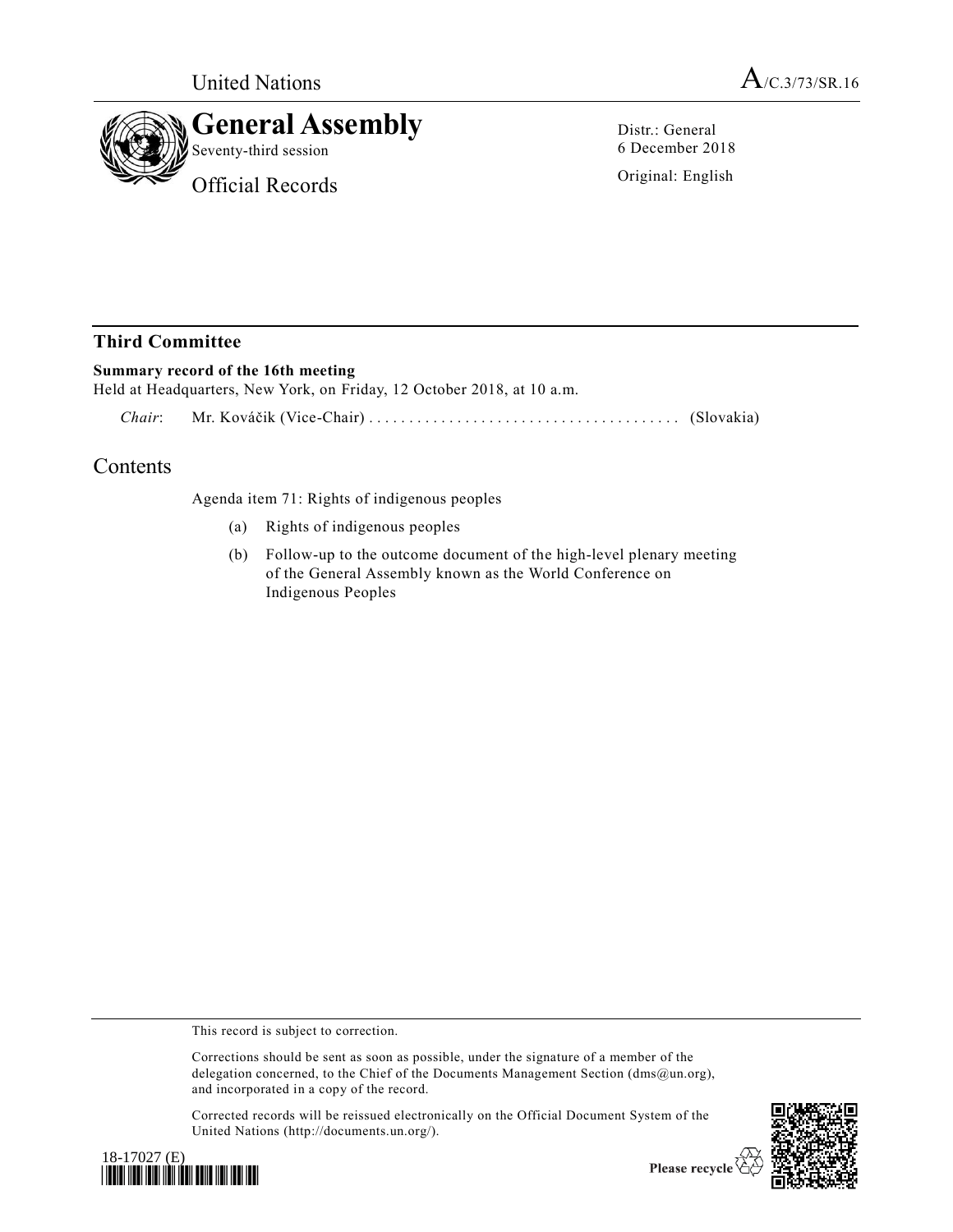



Distr.: General 6 December 2018

Original: English

## **Third Committee**

## **Summary record of the 16th meeting**

Held at Headquarters, New York, on Friday, 12 October 2018, at 10 a.m.

*Chair*: Mr. Kováčik (Vice-Chair) ................................ ....... (Slovakia)

## Contents

Agenda item 71: Rights of indigenous peoples

- (a) Rights of indigenous peoples
- (b) Follow-up to the outcome document of the high-level plenary meeting of the General Assembly known as the World Conference on Indigenous Peoples

This record is subject to correction.

Corrections should be sent as soon as possible, under the signature of a member of the delegation concerned, to the Chief of the Documents Management Section (dms@un.org), and incorporated in a copy of the record.

Corrected records will be reissued electronically on the Official Document System of the United Nations (http://documents.un.org/).





Please recycle  $\overline{\mathfrak{C}}$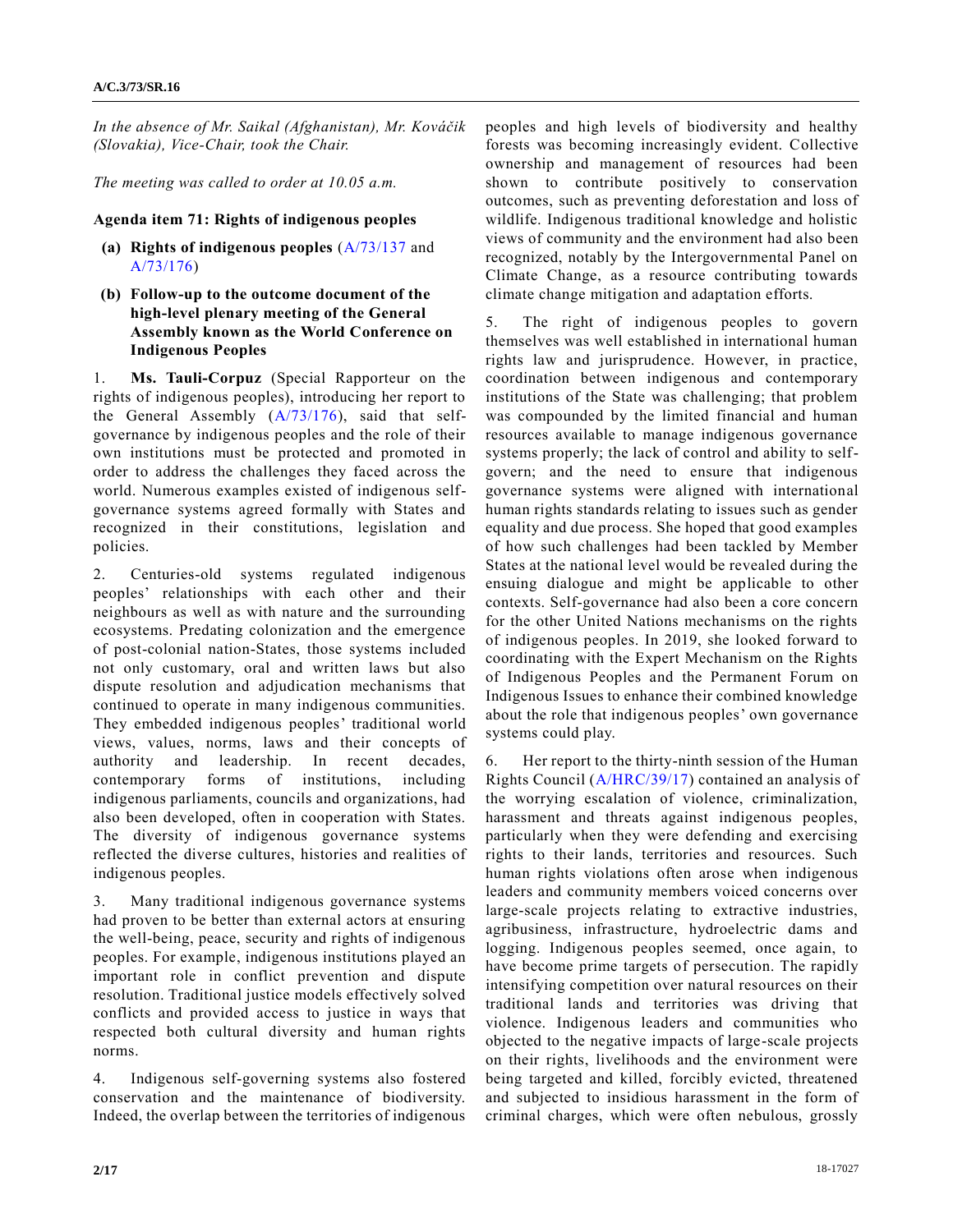*In the absence of Mr. Saikal (Afghanistan), Mr. Kováčik (Slovakia), Vice-Chair, took the Chair.*

*The meeting was called to order at 10.05 a.m.*

## **Agenda item 71: Rights of indigenous peoples**

- **(a) Rights of indigenous peoples** [\(A/73/137](https://undocs.org/A/73/137) and [A/73/176\)](https://undocs.org/A/73/176)
- **(b) Follow-up to the outcome document of the high-level plenary meeting of the General Assembly known as the World Conference on Indigenous Peoples**

1. **Ms. Tauli-Corpuz** (Special Rapporteur on the rights of indigenous peoples), introducing her report to the General Assembly [\(A/73/176\)](https://undocs.org/A/73/176), said that selfgovernance by indigenous peoples and the role of their own institutions must be protected and promoted in order to address the challenges they faced across the world. Numerous examples existed of indigenous selfgovernance systems agreed formally with States and recognized in their constitutions, legislation and policies.

2. Centuries-old systems regulated indigenous peoples' relationships with each other and their neighbours as well as with nature and the surrounding ecosystems. Predating colonization and the emergence of post-colonial nation-States, those systems included not only customary, oral and written laws but also dispute resolution and adjudication mechanisms that continued to operate in many indigenous communities. They embedded indigenous peoples' traditional world views, values, norms, laws and their concepts of authority and leadership. In recent decades, contemporary forms of institutions, including indigenous parliaments, councils and organizations, had also been developed, often in cooperation with States. The diversity of indigenous governance systems reflected the diverse cultures, histories and realities of indigenous peoples.

3. Many traditional indigenous governance systems had proven to be better than external actors at ensuring the well-being, peace, security and rights of indigenous peoples. For example, indigenous institutions played an important role in conflict prevention and dispute resolution. Traditional justice models effectively solved conflicts and provided access to justice in ways that respected both cultural diversity and human rights norms.

4. Indigenous self-governing systems also fostered conservation and the maintenance of biodiversity. Indeed, the overlap between the territories of indigenous peoples and high levels of biodiversity and healthy forests was becoming increasingly evident. Collective ownership and management of resources had been shown to contribute positively to conservation outcomes, such as preventing deforestation and loss of wildlife. Indigenous traditional knowledge and holistic views of community and the environment had also been recognized, notably by the Intergovernmental Panel on Climate Change, as a resource contributing towards climate change mitigation and adaptation efforts.

5. The right of indigenous peoples to govern themselves was well established in international human rights law and jurisprudence. However, in practice, coordination between indigenous and contemporary institutions of the State was challenging; that problem was compounded by the limited financial and human resources available to manage indigenous governance systems properly; the lack of control and ability to selfgovern; and the need to ensure that indigenous governance systems were aligned with international human rights standards relating to issues such as gender equality and due process. She hoped that good examples of how such challenges had been tackled by Member States at the national level would be revealed during the ensuing dialogue and might be applicable to other contexts. Self-governance had also been a core concern for the other United Nations mechanisms on the rights of indigenous peoples. In 2019, she looked forward to coordinating with the Expert Mechanism on the Rights of Indigenous Peoples and the Permanent Forum on Indigenous Issues to enhance their combined knowledge about the role that indigenous peoples' own governance systems could play.

6. Her report to the thirty-ninth session of the Human Rights Council [\(A/HRC/39/17\)](https://undocs.org/A/HRC/39/17) contained an analysis of the worrying escalation of violence, criminalization, harassment and threats against indigenous peoples, particularly when they were defending and exercising rights to their lands, territories and resources. Such human rights violations often arose when indigenous leaders and community members voiced concerns over large-scale projects relating to extractive industries, agribusiness, infrastructure, hydroelectric dams and logging. Indigenous peoples seemed, once again, to have become prime targets of persecution. The rapidly intensifying competition over natural resources on their traditional lands and territories was driving that violence. Indigenous leaders and communities who objected to the negative impacts of large-scale projects on their rights, livelihoods and the environment were being targeted and killed, forcibly evicted, threatened and subjected to insidious harassment in the form of criminal charges, which were often nebulous, grossly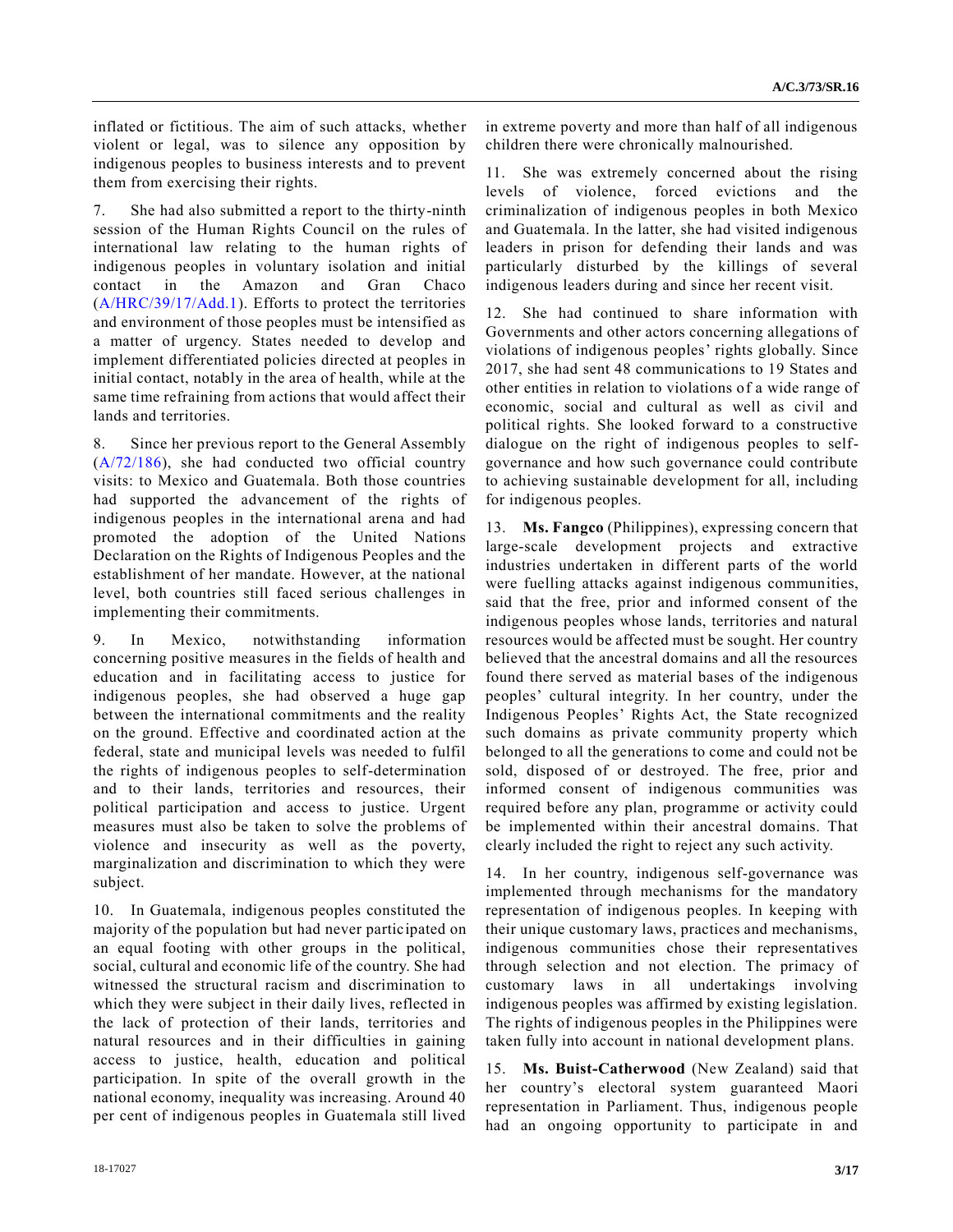inflated or fictitious. The aim of such attacks, whether violent or legal, was to silence any opposition by indigenous peoples to business interests and to prevent them from exercising their rights.

7. She had also submitted a report to the thirty-ninth session of the Human Rights Council on the rules of international law relating to the human rights of indigenous peoples in voluntary isolation and initial contact in the Amazon and Gran Chaco [\(A/HRC/39/17/Add.1\)](https://undocs.org/A/HRC/39/17/Add.1). Efforts to protect the territories and environment of those peoples must be intensified as a matter of urgency. States needed to develop and implement differentiated policies directed at peoples in initial contact, notably in the area of health, while at the same time refraining from actions that would affect their lands and territories.

8. Since her previous report to the General Assembly [\(A/72/186\)](https://undocs.org/A/72/186), she had conducted two official country visits: to Mexico and Guatemala. Both those countries had supported the advancement of the rights of indigenous peoples in the international arena and had promoted the adoption of the United Nations Declaration on the Rights of Indigenous Peoples and the establishment of her mandate. However, at the national level, both countries still faced serious challenges in implementing their commitments.

9. In Mexico, notwithstanding information concerning positive measures in the fields of health and education and in facilitating access to justice for indigenous peoples, she had observed a huge gap between the international commitments and the reality on the ground. Effective and coordinated action at the federal, state and municipal levels was needed to fulfil the rights of indigenous peoples to self-determination and to their lands, territories and resources, their political participation and access to justice. Urgent measures must also be taken to solve the problems of violence and insecurity as well as the poverty, marginalization and discrimination to which they were subject.

10. In Guatemala, indigenous peoples constituted the majority of the population but had never participated on an equal footing with other groups in the political, social, cultural and economic life of the country. She had witnessed the structural racism and discrimination to which they were subject in their daily lives, reflected in the lack of protection of their lands, territories and natural resources and in their difficulties in gaining access to justice, health, education and political participation. In spite of the overall growth in the national economy, inequality was increasing. Around 40 per cent of indigenous peoples in Guatemala still lived

in extreme poverty and more than half of all indigenous children there were chronically malnourished.

11. She was extremely concerned about the rising levels of violence, forced evictions and the criminalization of indigenous peoples in both Mexico and Guatemala. In the latter, she had visited indigenous leaders in prison for defending their lands and was particularly disturbed by the killings of several indigenous leaders during and since her recent visit.

12. She had continued to share information with Governments and other actors concerning allegations of violations of indigenous peoples' rights globally. Since 2017, she had sent 48 communications to 19 States and other entities in relation to violations of a wide range of economic, social and cultural as well as civil and political rights. She looked forward to a constructive dialogue on the right of indigenous peoples to selfgovernance and how such governance could contribute to achieving sustainable development for all, including for indigenous peoples.

13. **Ms. Fangco** (Philippines), expressing concern that large-scale development projects and extractive industries undertaken in different parts of the world were fuelling attacks against indigenous communities, said that the free, prior and informed consent of the indigenous peoples whose lands, territories and natural resources would be affected must be sought. Her country believed that the ancestral domains and all the resources found there served as material bases of the indigenous peoples' cultural integrity. In her country, under the Indigenous Peoples' Rights Act, the State recognized such domains as private community property which belonged to all the generations to come and could not be sold, disposed of or destroyed. The free, prior and informed consent of indigenous communities was required before any plan, programme or activity could be implemented within their ancestral domains. That clearly included the right to reject any such activity.

14. In her country, indigenous self-governance was implemented through mechanisms for the mandatory representation of indigenous peoples. In keeping with their unique customary laws, practices and mechanisms, indigenous communities chose their representatives through selection and not election. The primacy of customary laws in all undertakings involving indigenous peoples was affirmed by existing legislation. The rights of indigenous peoples in the Philippines were taken fully into account in national development plans.

15. **Ms. Buist-Catherwood** (New Zealand) said that her country's electoral system guaranteed Maori representation in Parliament. Thus, indigenous people had an ongoing opportunity to participate in and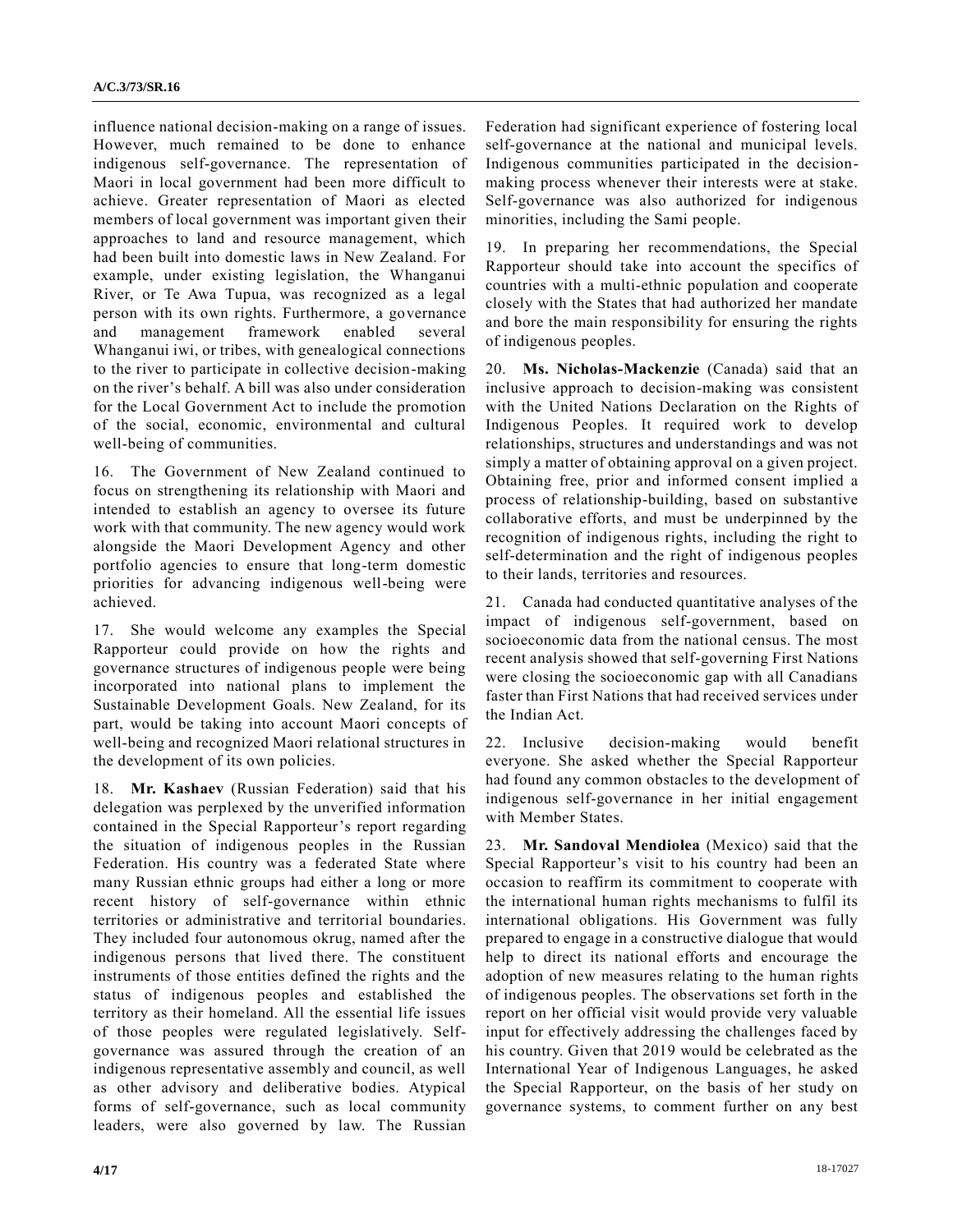influence national decision-making on a range of issues. However, much remained to be done to enhance indigenous self-governance. The representation of Maori in local government had been more difficult to achieve. Greater representation of Maori as elected members of local government was important given their approaches to land and resource management, which had been built into domestic laws in New Zealand. For example, under existing legislation, the Whanganui River, or Te Awa Tupua, was recognized as a legal person with its own rights. Furthermore, a governance and management framework enabled several Whanganui iwi, or tribes, with genealogical connections to the river to participate in collective decision-making on the river's behalf. A bill was also under consideration for the Local Government Act to include the promotion of the social, economic, environmental and cultural well-being of communities.

16. The Government of New Zealand continued to focus on strengthening its relationship with Maori and intended to establish an agency to oversee its future work with that community. The new agency would work alongside the Maori Development Agency and other portfolio agencies to ensure that long-term domestic priorities for advancing indigenous well-being were achieved.

17. She would welcome any examples the Special Rapporteur could provide on how the rights and governance structures of indigenous people were being incorporated into national plans to implement the Sustainable Development Goals. New Zealand, for its part, would be taking into account Maori concepts of well-being and recognized Maori relational structures in the development of its own policies.

18. **Mr. Kashaev** (Russian Federation) said that his delegation was perplexed by the unverified information contained in the Special Rapporteur's report regarding the situation of indigenous peoples in the Russian Federation. His country was a federated State where many Russian ethnic groups had either a long or more recent history of self-governance within ethnic territories or administrative and territorial boundaries. They included four autonomous okrug, named after the indigenous persons that lived there. The constituent instruments of those entities defined the rights and the status of indigenous peoples and established the territory as their homeland. All the essential life issues of those peoples were regulated legislatively. Selfgovernance was assured through the creation of an indigenous representative assembly and council, as well as other advisory and deliberative bodies. Atypical forms of self-governance, such as local community leaders, were also governed by law. The Russian Federation had significant experience of fostering local self-governance at the national and municipal levels. Indigenous communities participated in the decisionmaking process whenever their interests were at stake. Self-governance was also authorized for indigenous minorities, including the Sami people.

19. In preparing her recommendations, the Special Rapporteur should take into account the specifics of countries with a multi-ethnic population and cooperate closely with the States that had authorized her mandate and bore the main responsibility for ensuring the rights of indigenous peoples.

20. **Ms. Nicholas-Mackenzie** (Canada) said that an inclusive approach to decision-making was consistent with the United Nations Declaration on the Rights of Indigenous Peoples. It required work to develop relationships, structures and understandings and was not simply a matter of obtaining approval on a given project. Obtaining free, prior and informed consent implied a process of relationship-building, based on substantive collaborative efforts, and must be underpinned by the recognition of indigenous rights, including the right to self-determination and the right of indigenous peoples to their lands, territories and resources.

21. Canada had conducted quantitative analyses of the impact of indigenous self-government, based on socioeconomic data from the national census. The most recent analysis showed that self-governing First Nations were closing the socioeconomic gap with all Canadians faster than First Nations that had received services under the Indian Act.

22. Inclusive decision-making would benefit everyone. She asked whether the Special Rapporteur had found any common obstacles to the development of indigenous self-governance in her initial engagement with Member States.

23. **Mr. Sandoval Mendiolea** (Mexico) said that the Special Rapporteur's visit to his country had been an occasion to reaffirm its commitment to cooperate with the international human rights mechanisms to fulfil its international obligations. His Government was fully prepared to engage in a constructive dialogue that would help to direct its national efforts and encourage the adoption of new measures relating to the human rights of indigenous peoples. The observations set forth in the report on her official visit would provide very valuable input for effectively addressing the challenges faced by his country. Given that 2019 would be celebrated as the International Year of Indigenous Languages, he asked the Special Rapporteur, on the basis of her study on governance systems, to comment further on any best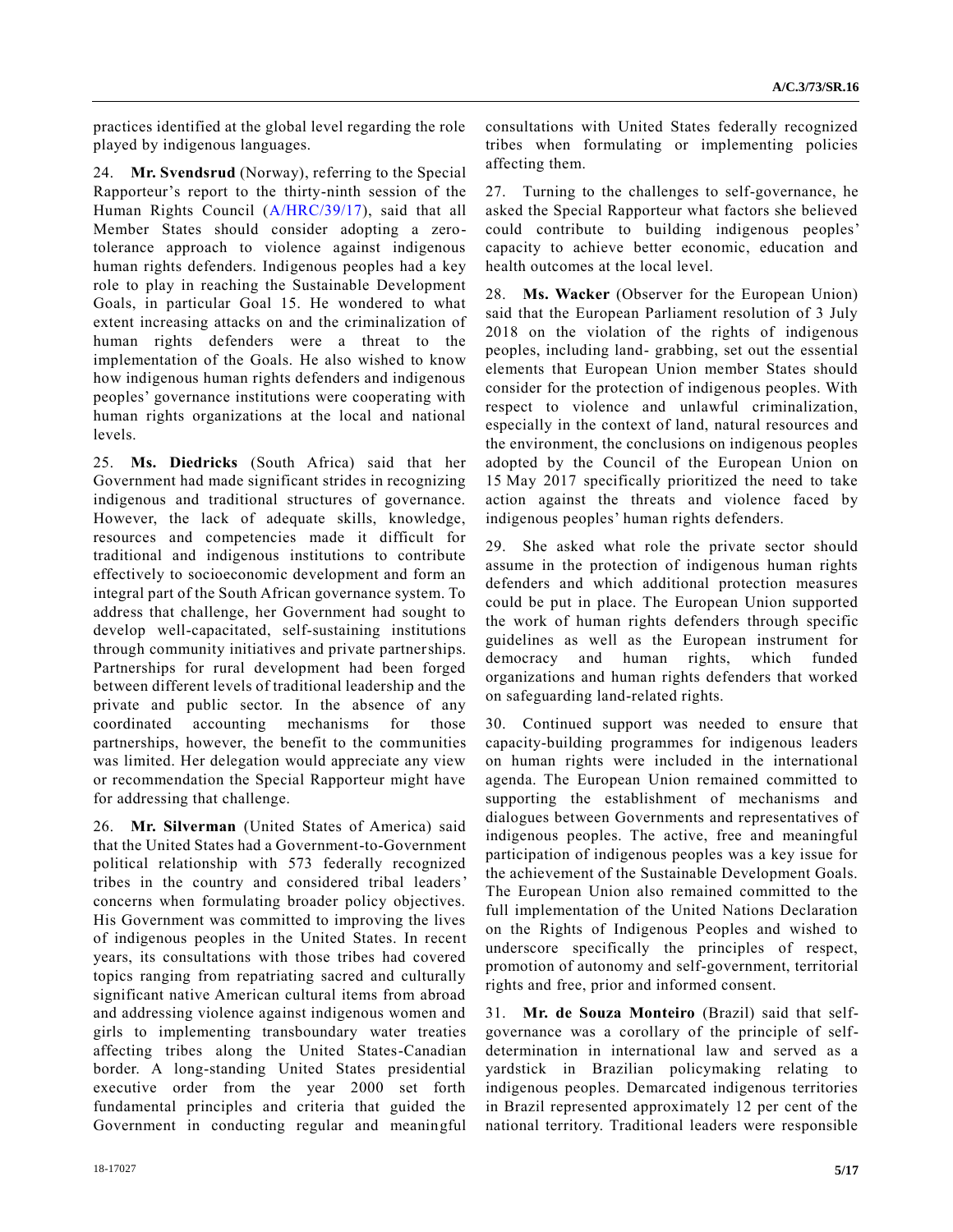practices identified at the global level regarding the role played by indigenous languages.

24. **Mr. Svendsrud** (Norway), referring to the Special Rapporteur's report to the thirty-ninth session of the Human Rights Council [\(A/HRC/39/17\)](https://undocs.org/A/HRC/39/17), said that all Member States should consider adopting a zerotolerance approach to violence against indigenous human rights defenders. Indigenous peoples had a key role to play in reaching the Sustainable Development Goals, in particular Goal 15. He wondered to what extent increasing attacks on and the criminalization of human rights defenders were a threat to the implementation of the Goals. He also wished to know how indigenous human rights defenders and indigenous peoples' governance institutions were cooperating with human rights organizations at the local and national levels.

25. **Ms. Diedricks** (South Africa) said that her Government had made significant strides in recognizing indigenous and traditional structures of governance. However, the lack of adequate skills, knowledge, resources and competencies made it difficult for traditional and indigenous institutions to contribute effectively to socioeconomic development and form an integral part of the South African governance system. To address that challenge, her Government had sought to develop well-capacitated, self-sustaining institutions through community initiatives and private partnerships. Partnerships for rural development had been forged between different levels of traditional leadership and the private and public sector. In the absence of any coordinated accounting mechanisms for those partnerships, however, the benefit to the communities was limited. Her delegation would appreciate any view or recommendation the Special Rapporteur might have for addressing that challenge.

26. **Mr. Silverman** (United States of America) said that the United States had a Government-to-Government political relationship with 573 federally recognized tribes in the country and considered tribal leaders' concerns when formulating broader policy objectives. His Government was committed to improving the lives of indigenous peoples in the United States. In recent years, its consultations with those tribes had covered topics ranging from repatriating sacred and culturally significant native American cultural items from abroad and addressing violence against indigenous women and girls to implementing transboundary water treaties affecting tribes along the United States-Canadian border. A long-standing United States presidential executive order from the year 2000 set forth fundamental principles and criteria that guided the Government in conducting regular and meaningful consultations with United States federally recognized tribes when formulating or implementing policies affecting them.

27. Turning to the challenges to self-governance, he asked the Special Rapporteur what factors she believed could contribute to building indigenous peoples' capacity to achieve better economic, education and health outcomes at the local level.

28. **Ms. Wacker** (Observer for the European Union) said that the European Parliament resolution of 3 July 2018 on the violation of the rights of indigenous peoples, including land- grabbing, set out the essential elements that European Union member States should consider for the protection of indigenous peoples. With respect to violence and unlawful criminalization, especially in the context of land, natural resources and the environment, the conclusions on indigenous peoples adopted by the Council of the European Union on 15 May 2017 specifically prioritized the need to take action against the threats and violence faced by indigenous peoples' human rights defenders.

29. She asked what role the private sector should assume in the protection of indigenous human rights defenders and which additional protection measures could be put in place. The European Union supported the work of human rights defenders through specific guidelines as well as the European instrument for democracy and human rights, which funded organizations and human rights defenders that worked on safeguarding land-related rights.

30. Continued support was needed to ensure that capacity-building programmes for indigenous leaders on human rights were included in the international agenda. The European Union remained committed to supporting the establishment of mechanisms and dialogues between Governments and representatives of indigenous peoples. The active, free and meaningful participation of indigenous peoples was a key issue for the achievement of the Sustainable Development Goals. The European Union also remained committed to the full implementation of the United Nations Declaration on the Rights of Indigenous Peoples and wished to underscore specifically the principles of respect, promotion of autonomy and self-government, territorial rights and free, prior and informed consent.

31. **Mr. de Souza Monteiro** (Brazil) said that selfgovernance was a corollary of the principle of selfdetermination in international law and served as a yardstick in Brazilian policymaking relating to indigenous peoples. Demarcated indigenous territories in Brazil represented approximately 12 per cent of the national territory. Traditional leaders were responsible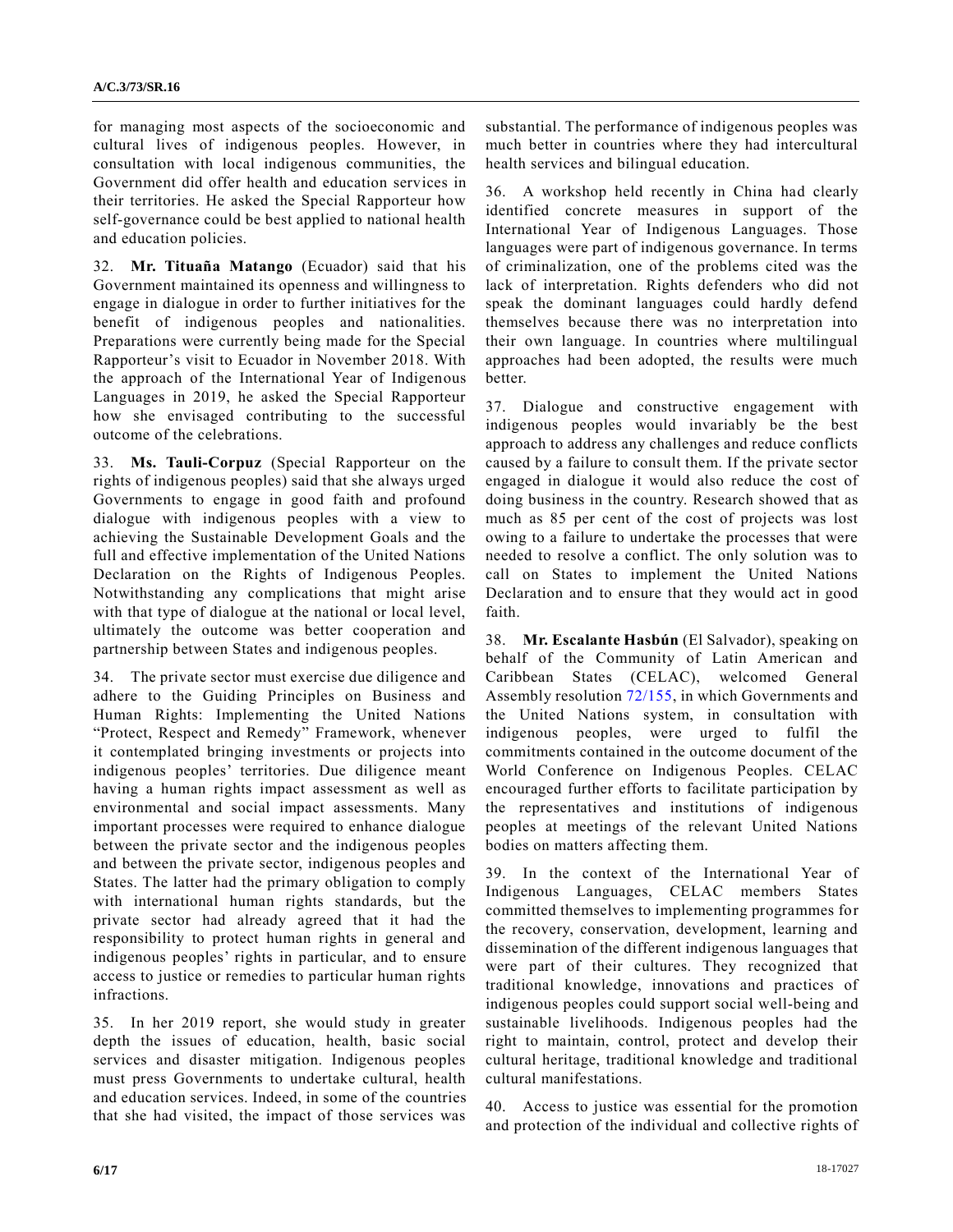for managing most aspects of the socioeconomic and cultural lives of indigenous peoples. However, in consultation with local indigenous communities, the Government did offer health and education services in their territories. He asked the Special Rapporteur how self-governance could be best applied to national health and education policies.

32. **Mr. Tituaña Matango** (Ecuador) said that his Government maintained its openness and willingness to engage in dialogue in order to further initiatives for the benefit of indigenous peoples and nationalities. Preparations were currently being made for the Special Rapporteur's visit to Ecuador in November 2018. With the approach of the International Year of Indigenous Languages in 2019, he asked the Special Rapporteur how she envisaged contributing to the successful outcome of the celebrations.

33. **Ms. Tauli-Corpuz** (Special Rapporteur on the rights of indigenous peoples) said that she always urged Governments to engage in good faith and profound dialogue with indigenous peoples with a view to achieving the Sustainable Development Goals and the full and effective implementation of the United Nations Declaration on the Rights of Indigenous Peoples. Notwithstanding any complications that might arise with that type of dialogue at the national or local level, ultimately the outcome was better cooperation and partnership between States and indigenous peoples.

34. The private sector must exercise due diligence and adhere to the Guiding Principles on Business and Human Rights: Implementing the United Nations "Protect, Respect and Remedy" Framework, whenever it contemplated bringing investments or projects into indigenous peoples' territories. Due diligence meant having a human rights impact assessment as well as environmental and social impact assessments. Many important processes were required to enhance dialogue between the private sector and the indigenous peoples and between the private sector, indigenous peoples and States. The latter had the primary obligation to comply with international human rights standards, but the private sector had already agreed that it had the responsibility to protect human rights in general and indigenous peoples' rights in particular, and to ensure access to justice or remedies to particular human rights infractions.

35. In her 2019 report, she would study in greater depth the issues of education, health, basic social services and disaster mitigation. Indigenous peoples must press Governments to undertake cultural, health and education services. Indeed, in some of the countries that she had visited, the impact of those services was substantial. The performance of indigenous peoples was much better in countries where they had intercultural health services and bilingual education.

36. A workshop held recently in China had clearly identified concrete measures in support of the International Year of Indigenous Languages. Those languages were part of indigenous governance. In terms of criminalization, one of the problems cited was the lack of interpretation. Rights defenders who did not speak the dominant languages could hardly defend themselves because there was no interpretation into their own language. In countries where multilingual approaches had been adopted, the results were much better.

37. Dialogue and constructive engagement with indigenous peoples would invariably be the best approach to address any challenges and reduce conflicts caused by a failure to consult them. If the private sector engaged in dialogue it would also reduce the cost of doing business in the country. Research showed that as much as 85 per cent of the cost of projects was lost owing to a failure to undertake the processes that were needed to resolve a conflict. The only solution was to call on States to implement the United Nations Declaration and to ensure that they would act in good faith.

38. **Mr. Escalante Hasbún** (El Salvador), speaking on behalf of the Community of Latin American and Caribbean States (CELAC), welcomed General Assembly resolution [72/155,](https://undocs.org/A/RES/72/155) in which Governments and the United Nations system, in consultation with indigenous peoples, were urged to fulfil the commitments contained in the outcome document of the World Conference on Indigenous Peoples. CELAC encouraged further efforts to facilitate participation by the representatives and institutions of indigenous peoples at meetings of the relevant United Nations bodies on matters affecting them.

39. In the context of the International Year of Indigenous Languages, CELAC members States committed themselves to implementing programmes for the recovery, conservation, development, learning and dissemination of the different indigenous languages that were part of their cultures. They recognized that traditional knowledge, innovations and practices of indigenous peoples could support social well-being and sustainable livelihoods. Indigenous peoples had the right to maintain, control, protect and develop their cultural heritage, traditional knowledge and traditional cultural manifestations.

40. Access to justice was essential for the promotion and protection of the individual and collective rights of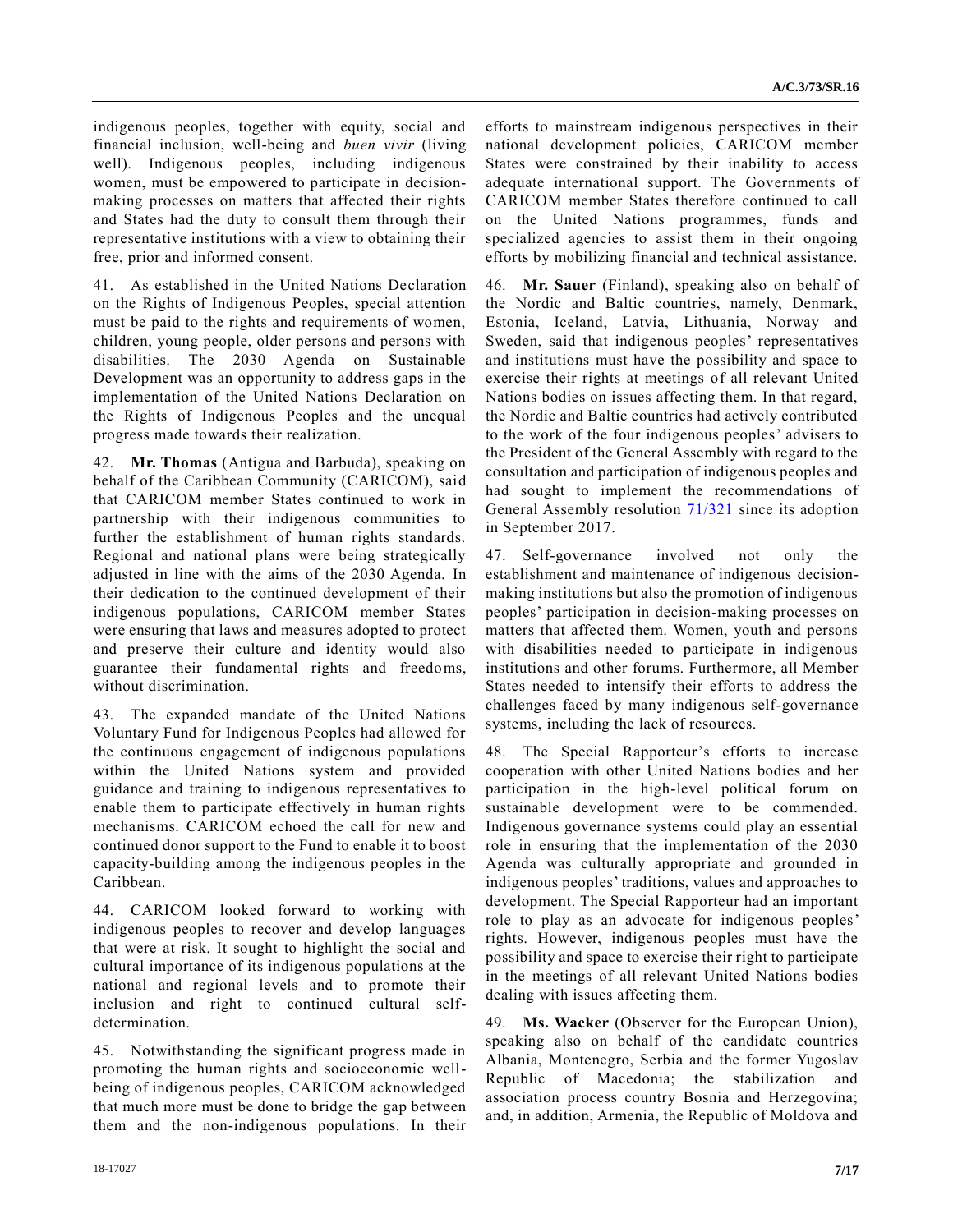indigenous peoples, together with equity, social and financial inclusion, well-being and *buen vivir* (living well). Indigenous peoples, including indigenous women, must be empowered to participate in decisionmaking processes on matters that affected their rights and States had the duty to consult them through their representative institutions with a view to obtaining their free, prior and informed consent.

41. As established in the United Nations Declaration on the Rights of Indigenous Peoples, special attention must be paid to the rights and requirements of women, children, young people, older persons and persons with disabilities. The 2030 Agenda on Sustainable Development was an opportunity to address gaps in the implementation of the United Nations Declaration on the Rights of Indigenous Peoples and the unequal progress made towards their realization.

42. **Mr. Thomas** (Antigua and Barbuda), speaking on behalf of the Caribbean Community (CARICOM), said that CARICOM member States continued to work in partnership with their indigenous communities to further the establishment of human rights standards. Regional and national plans were being strategically adjusted in line with the aims of the 2030 Agenda. In their dedication to the continued development of their indigenous populations, CARICOM member States were ensuring that laws and measures adopted to protect and preserve their culture and identity would also guarantee their fundamental rights and freedoms, without discrimination.

43. The expanded mandate of the United Nations Voluntary Fund for Indigenous Peoples had allowed for the continuous engagement of indigenous populations within the United Nations system and provided guidance and training to indigenous representatives to enable them to participate effectively in human rights mechanisms. CARICOM echoed the call for new and continued donor support to the Fund to enable it to boost capacity-building among the indigenous peoples in the Caribbean.

44. CARICOM looked forward to working with indigenous peoples to recover and develop languages that were at risk. It sought to highlight the social and cultural importance of its indigenous populations at the national and regional levels and to promote their inclusion and right to continued cultural selfdetermination.

45. Notwithstanding the significant progress made in promoting the human rights and socioeconomic wellbeing of indigenous peoples, CARICOM acknowledged that much more must be done to bridge the gap between them and the non-indigenous populations. In their efforts to mainstream indigenous perspectives in their national development policies, CARICOM member States were constrained by their inability to access adequate international support. The Governments of CARICOM member States therefore continued to call on the United Nations programmes, funds and specialized agencies to assist them in their ongoing efforts by mobilizing financial and technical assistance.

46. **Mr. Sauer** (Finland), speaking also on behalf of the Nordic and Baltic countries, namely, Denmark, Estonia, Iceland, Latvia, Lithuania, Norway and Sweden, said that indigenous peoples' representatives and institutions must have the possibility and space to exercise their rights at meetings of all relevant United Nations bodies on issues affecting them. In that regard, the Nordic and Baltic countries had actively contributed to the work of the four indigenous peoples' advisers to the President of the General Assembly with regard to the consultation and participation of indigenous peoples and had sought to implement the recommendations of General Assembly resolution [71/321](https://undocs.org/A/RES/71/321) since its adoption in September 2017.

47. Self-governance involved not only the establishment and maintenance of indigenous decisionmaking institutions but also the promotion of indigenous peoples' participation in decision-making processes on matters that affected them. Women, youth and persons with disabilities needed to participate in indigenous institutions and other forums. Furthermore, all Member States needed to intensify their efforts to address the challenges faced by many indigenous self-governance systems, including the lack of resources.

48. The Special Rapporteur's efforts to increase cooperation with other United Nations bodies and her participation in the high-level political forum on sustainable development were to be commended. Indigenous governance systems could play an essential role in ensuring that the implementation of the 2030 Agenda was culturally appropriate and grounded in indigenous peoples' traditions, values and approaches to development. The Special Rapporteur had an important role to play as an advocate for indigenous peoples' rights. However, indigenous peoples must have the possibility and space to exercise their right to participate in the meetings of all relevant United Nations bodies dealing with issues affecting them.

49. **Ms. Wacker** (Observer for the European Union), speaking also on behalf of the candidate countries Albania, Montenegro, Serbia and the former Yugoslav Republic of Macedonia; the stabilization and association process country Bosnia and Herzegovina; and, in addition, Armenia, the Republic of Moldova and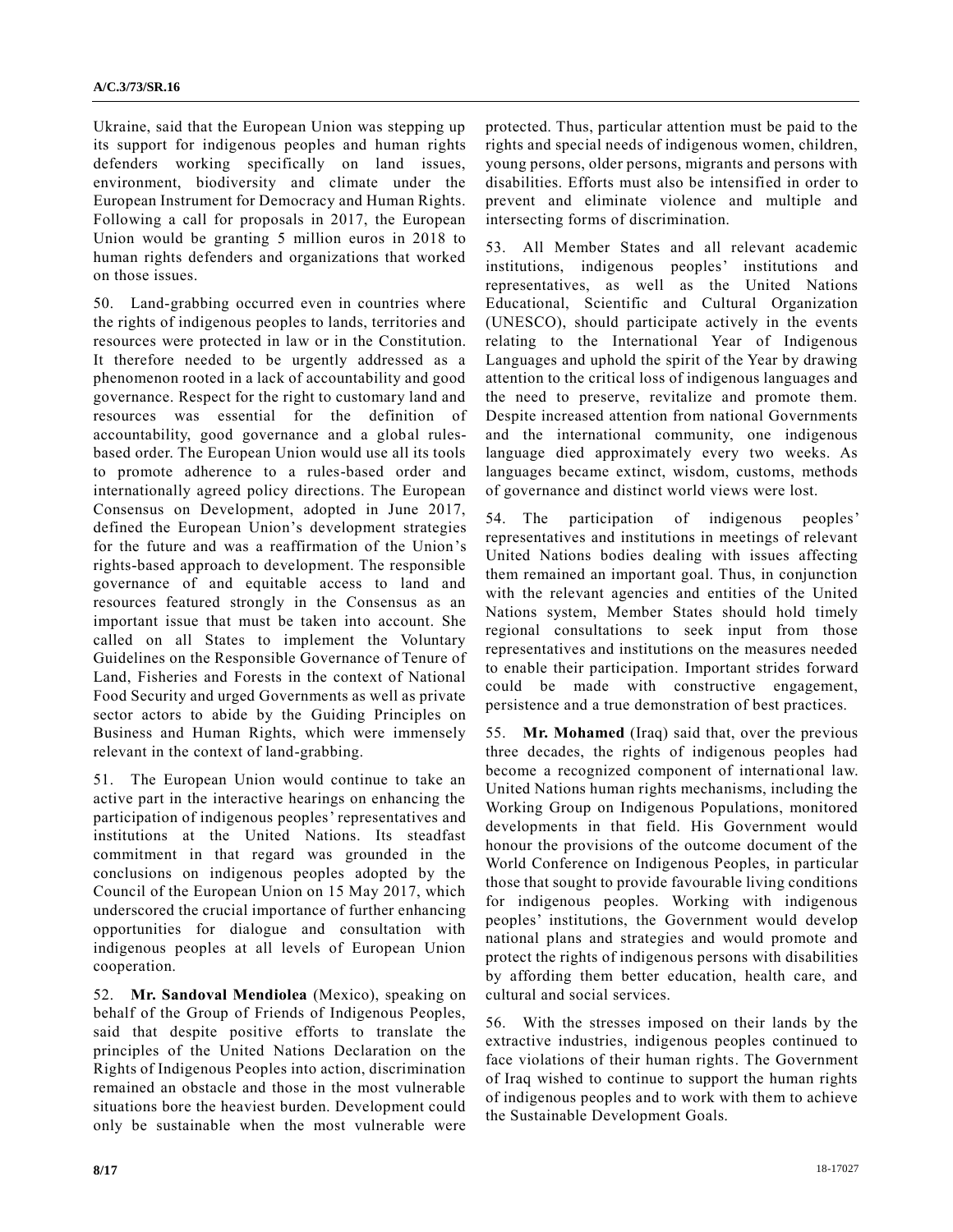Ukraine, said that the European Union was stepping up its support for indigenous peoples and human rights defenders working specifically on land issues, environment, biodiversity and climate under the European Instrument for Democracy and Human Rights. Following a call for proposals in 2017, the European Union would be granting 5 million euros in 2018 to human rights defenders and organizations that worked on those issues.

50. Land-grabbing occurred even in countries where the rights of indigenous peoples to lands, territories and resources were protected in law or in the Constitution. It therefore needed to be urgently addressed as a phenomenon rooted in a lack of accountability and good governance. Respect for the right to customary land and resources was essential for the definition of accountability, good governance and a global rulesbased order. The European Union would use all its tools to promote adherence to a rules-based order and internationally agreed policy directions. The European Consensus on Development, adopted in June 2017, defined the European Union's development strategies for the future and was a reaffirmation of the Union's rights-based approach to development. The responsible governance of and equitable access to land and resources featured strongly in the Consensus as an important issue that must be taken into account. She called on all States to implement the Voluntary Guidelines on the Responsible Governance of Tenure of Land, Fisheries and Forests in the context of National Food Security and urged Governments as well as private sector actors to abide by the Guiding Principles on Business and Human Rights, which were immensely relevant in the context of land-grabbing.

51. The European Union would continue to take an active part in the interactive hearings on enhancing the participation of indigenous peoples' representatives and institutions at the United Nations. Its steadfast commitment in that regard was grounded in the conclusions on indigenous peoples adopted by the Council of the European Union on 15 May 2017, which underscored the crucial importance of further enhancing opportunities for dialogue and consultation with indigenous peoples at all levels of European Union cooperation.

52. **Mr. Sandoval Mendiolea** (Mexico), speaking on behalf of the Group of Friends of Indigenous Peoples, said that despite positive efforts to translate the principles of the United Nations Declaration on the Rights of Indigenous Peoples into action, discrimination remained an obstacle and those in the most vulnerable situations bore the heaviest burden. Development could only be sustainable when the most vulnerable were protected. Thus, particular attention must be paid to the rights and special needs of indigenous women, children, young persons, older persons, migrants and persons with disabilities. Efforts must also be intensified in order to prevent and eliminate violence and multiple and intersecting forms of discrimination.

53. All Member States and all relevant academic institutions, indigenous peoples' institutions and representatives, as well as the United Nations Educational, Scientific and Cultural Organization (UNESCO), should participate actively in the events relating to the International Year of Indigenous Languages and uphold the spirit of the Year by drawing attention to the critical loss of indigenous languages and the need to preserve, revitalize and promote them. Despite increased attention from national Governments and the international community, one indigenous language died approximately every two weeks. As languages became extinct, wisdom, customs, methods of governance and distinct world views were lost.

54. The participation of indigenous peoples' representatives and institutions in meetings of relevant United Nations bodies dealing with issues affecting them remained an important goal. Thus, in conjunction with the relevant agencies and entities of the United Nations system, Member States should hold timely regional consultations to seek input from those representatives and institutions on the measures needed to enable their participation. Important strides forward could be made with constructive engagement, persistence and a true demonstration of best practices.

55. **Mr. Mohamed** (Iraq) said that, over the previous three decades, the rights of indigenous peoples had become a recognized component of international law. United Nations human rights mechanisms, including the Working Group on Indigenous Populations, monitored developments in that field. His Government would honour the provisions of the outcome document of the World Conference on Indigenous Peoples, in particular those that sought to provide favourable living conditions for indigenous peoples. Working with indigenous peoples' institutions, the Government would develop national plans and strategies and would promote and protect the rights of indigenous persons with disabilities by affording them better education, health care, and cultural and social services.

56. With the stresses imposed on their lands by the extractive industries, indigenous peoples continued to face violations of their human rights. The Government of Iraq wished to continue to support the human rights of indigenous peoples and to work with them to achieve the Sustainable Development Goals.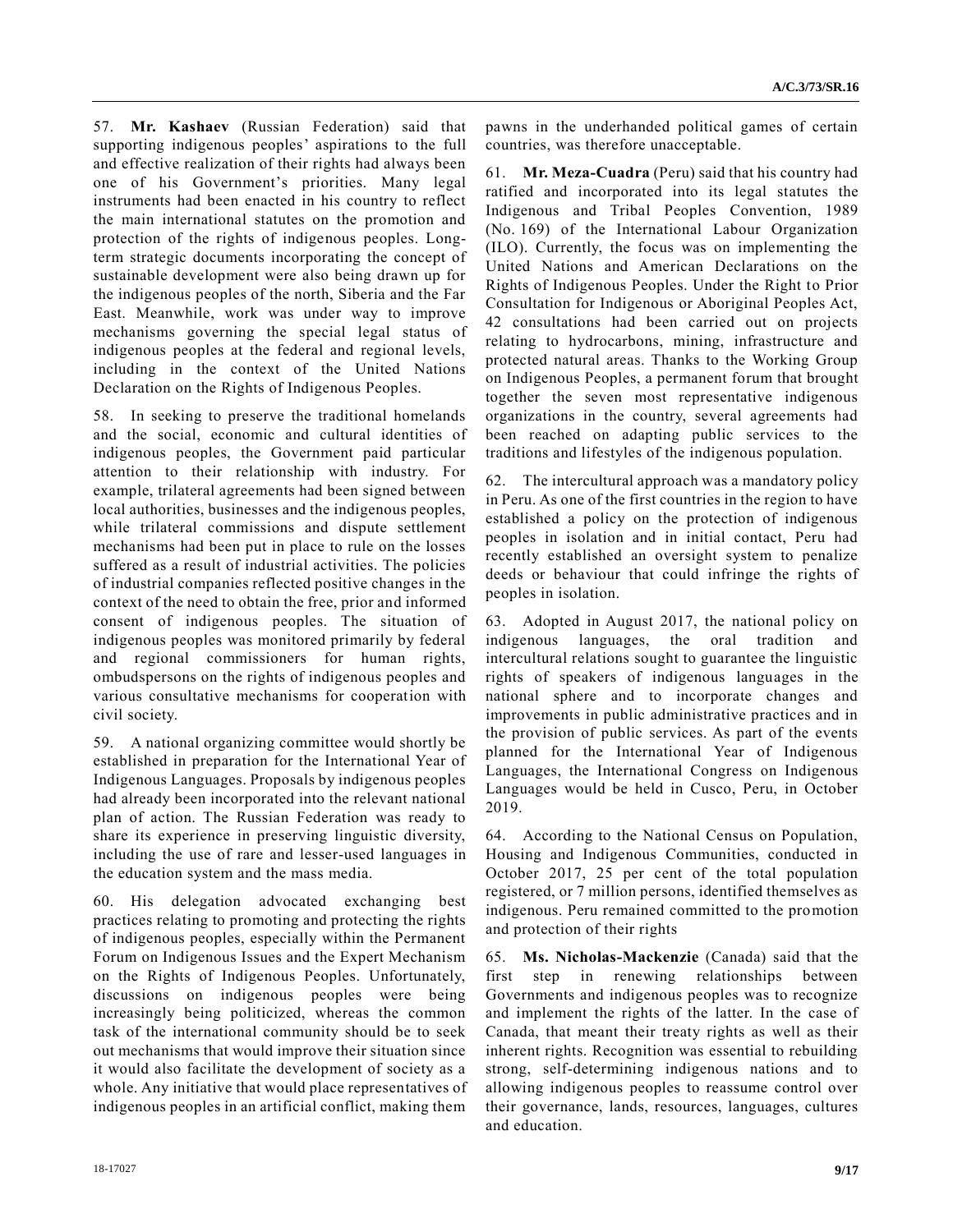57. **Mr. Kashaev** (Russian Federation) said that supporting indigenous peoples' aspirations to the full and effective realization of their rights had always been one of his Government's priorities. Many legal instruments had been enacted in his country to reflect the main international statutes on the promotion and protection of the rights of indigenous peoples. Longterm strategic documents incorporating the concept of sustainable development were also being drawn up for the indigenous peoples of the north, Siberia and the Far East. Meanwhile, work was under way to improve mechanisms governing the special legal status of indigenous peoples at the federal and regional levels, including in the context of the United Nations Declaration on the Rights of Indigenous Peoples.

58. In seeking to preserve the traditional homelands and the social, economic and cultural identities of indigenous peoples, the Government paid particular attention to their relationship with industry. For example, trilateral agreements had been signed between local authorities, businesses and the indigenous peoples, while trilateral commissions and dispute settlement mechanisms had been put in place to rule on the losses suffered as a result of industrial activities. The policies of industrial companies reflected positive changes in the context of the need to obtain the free, prior and informed consent of indigenous peoples. The situation of indigenous peoples was monitored primarily by federal and regional commissioners for human rights, ombudspersons on the rights of indigenous peoples and various consultative mechanisms for cooperation with civil society.

59. A national organizing committee would shortly be established in preparation for the International Year of Indigenous Languages. Proposals by indigenous peoples had already been incorporated into the relevant national plan of action. The Russian Federation was ready to share its experience in preserving linguistic diversity, including the use of rare and lesser-used languages in the education system and the mass media.

60. His delegation advocated exchanging best practices relating to promoting and protecting the rights of indigenous peoples, especially within the Permanent Forum on Indigenous Issues and the Expert Mechanism on the Rights of Indigenous Peoples. Unfortunately, discussions on indigenous peoples were being increasingly being politicized, whereas the common task of the international community should be to seek out mechanisms that would improve their situation since it would also facilitate the development of society as a whole. Any initiative that would place representatives of indigenous peoples in an artificial conflict, making them pawns in the underhanded political games of certain countries, was therefore unacceptable.

61. **Mr. Meza-Cuadra** (Peru) said that his country had ratified and incorporated into its legal statutes the Indigenous and Tribal Peoples Convention, 1989 (No. 169) of the International Labour Organization (ILO). Currently, the focus was on implementing the United Nations and American Declarations on the Rights of Indigenous Peoples. Under the Right to Prior Consultation for Indigenous or Aboriginal Peoples Act, 42 consultations had been carried out on projects relating to hydrocarbons, mining, infrastructure and protected natural areas. Thanks to the Working Group on Indigenous Peoples, a permanent forum that brought together the seven most representative indigenous organizations in the country, several agreements had been reached on adapting public services to the traditions and lifestyles of the indigenous population.

62. The intercultural approach was a mandatory policy in Peru. As one of the first countries in the region to have established a policy on the protection of indigenous peoples in isolation and in initial contact, Peru had recently established an oversight system to penalize deeds or behaviour that could infringe the rights of peoples in isolation.

63. Adopted in August 2017, the national policy on indigenous languages, the oral tradition and intercultural relations sought to guarantee the linguistic rights of speakers of indigenous languages in the national sphere and to incorporate changes and improvements in public administrative practices and in the provision of public services. As part of the events planned for the International Year of Indigenous Languages, the International Congress on Indigenous Languages would be held in Cusco, Peru, in October 2019.

64. According to the National Census on Population, Housing and Indigenous Communities, conducted in October 2017, 25 per cent of the total population registered, or 7 million persons, identified themselves as indigenous. Peru remained committed to the promotion and protection of their rights

65. **Ms. Nicholas-Mackenzie** (Canada) said that the first step in renewing relationships between Governments and indigenous peoples was to recognize and implement the rights of the latter. In the case of Canada, that meant their treaty rights as well as their inherent rights. Recognition was essential to rebuilding strong, self-determining indigenous nations and to allowing indigenous peoples to reassume control over their governance, lands, resources, languages, cultures and education.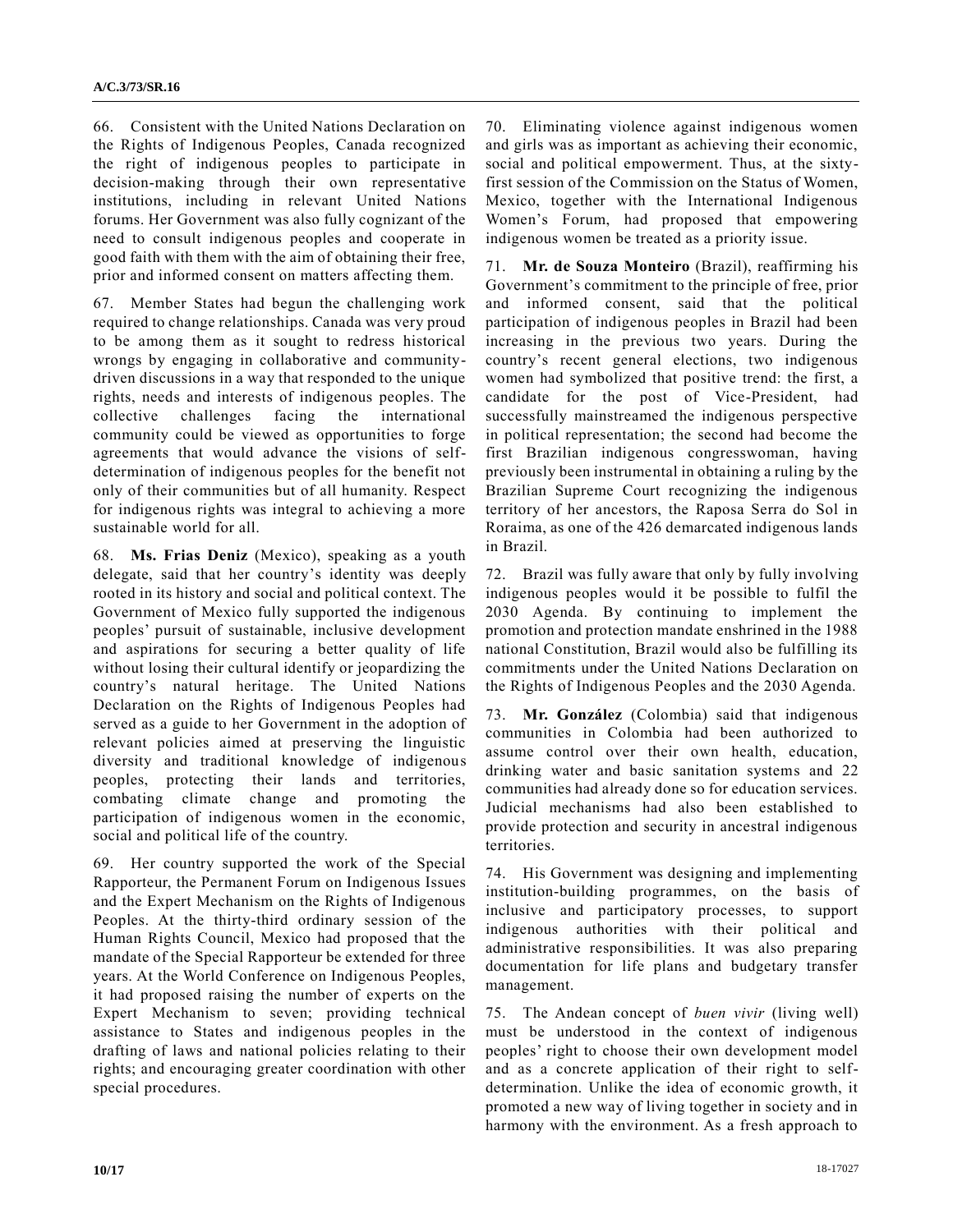66. Consistent with the United Nations Declaration on the Rights of Indigenous Peoples, Canada recognized the right of indigenous peoples to participate in decision-making through their own representative institutions, including in relevant United Nations forums. Her Government was also fully cognizant of the need to consult indigenous peoples and cooperate in good faith with them with the aim of obtaining their free, prior and informed consent on matters affecting them.

67. Member States had begun the challenging work required to change relationships. Canada was very proud to be among them as it sought to redress historical wrongs by engaging in collaborative and communitydriven discussions in a way that responded to the unique rights, needs and interests of indigenous peoples. The collective challenges facing the international community could be viewed as opportunities to forge agreements that would advance the visions of selfdetermination of indigenous peoples for the benefit not only of their communities but of all humanity. Respect for indigenous rights was integral to achieving a more sustainable world for all.

68. **Ms. Frias Deniz** (Mexico), speaking as a youth delegate, said that her country's identity was deeply rooted in its history and social and political context. The Government of Mexico fully supported the indigenous peoples' pursuit of sustainable, inclusive development and aspirations for securing a better quality of life without losing their cultural identify or jeopardizing the country's natural heritage. The United Nations Declaration on the Rights of Indigenous Peoples had served as a guide to her Government in the adoption of relevant policies aimed at preserving the linguistic diversity and traditional knowledge of indigenous peoples, protecting their lands and territories, combating climate change and promoting the participation of indigenous women in the economic, social and political life of the country.

69. Her country supported the work of the Special Rapporteur, the Permanent Forum on Indigenous Issues and the Expert Mechanism on the Rights of Indigenous Peoples. At the thirty-third ordinary session of the Human Rights Council, Mexico had proposed that the mandate of the Special Rapporteur be extended for three years. At the World Conference on Indigenous Peoples, it had proposed raising the number of experts on the Expert Mechanism to seven; providing technical assistance to States and indigenous peoples in the drafting of laws and national policies relating to their rights; and encouraging greater coordination with other special procedures.

70. Eliminating violence against indigenous women and girls was as important as achieving their economic, social and political empowerment. Thus, at the sixtyfirst session of the Commission on the Status of Women, Mexico, together with the International Indigenous Women's Forum, had proposed that empowering indigenous women be treated as a priority issue.

71. **Mr. de Souza Monteiro** (Brazil), reaffirming his Government's commitment to the principle of free, prior and informed consent, said that the political participation of indigenous peoples in Brazil had been increasing in the previous two years. During the country's recent general elections, two indigenous women had symbolized that positive trend: the first, a candidate for the post of Vice-President, had successfully mainstreamed the indigenous perspective in political representation; the second had become the first Brazilian indigenous congresswoman, having previously been instrumental in obtaining a ruling by the Brazilian Supreme Court recognizing the indigenous territory of her ancestors, the Raposa Serra do Sol in Roraima, as one of the 426 demarcated indigenous lands in Brazil.

72. Brazil was fully aware that only by fully involving indigenous peoples would it be possible to fulfil the 2030 Agenda. By continuing to implement the promotion and protection mandate enshrined in the 1988 national Constitution, Brazil would also be fulfilling its commitments under the United Nations Declaration on the Rights of Indigenous Peoples and the 2030 Agenda.

73. **Mr. González** (Colombia) said that indigenous communities in Colombia had been authorized to assume control over their own health, education, drinking water and basic sanitation systems and 22 communities had already done so for education services. Judicial mechanisms had also been established to provide protection and security in ancestral indigenous territories.

74. His Government was designing and implementing institution-building programmes, on the basis of inclusive and participatory processes, to support indigenous authorities with their political and administrative responsibilities. It was also preparing documentation for life plans and budgetary transfer management.

75. The Andean concept of *buen vivir* (living well) must be understood in the context of indigenous peoples' right to choose their own development model and as a concrete application of their right to selfdetermination. Unlike the idea of economic growth, it promoted a new way of living together in society and in harmony with the environment. As a fresh approach to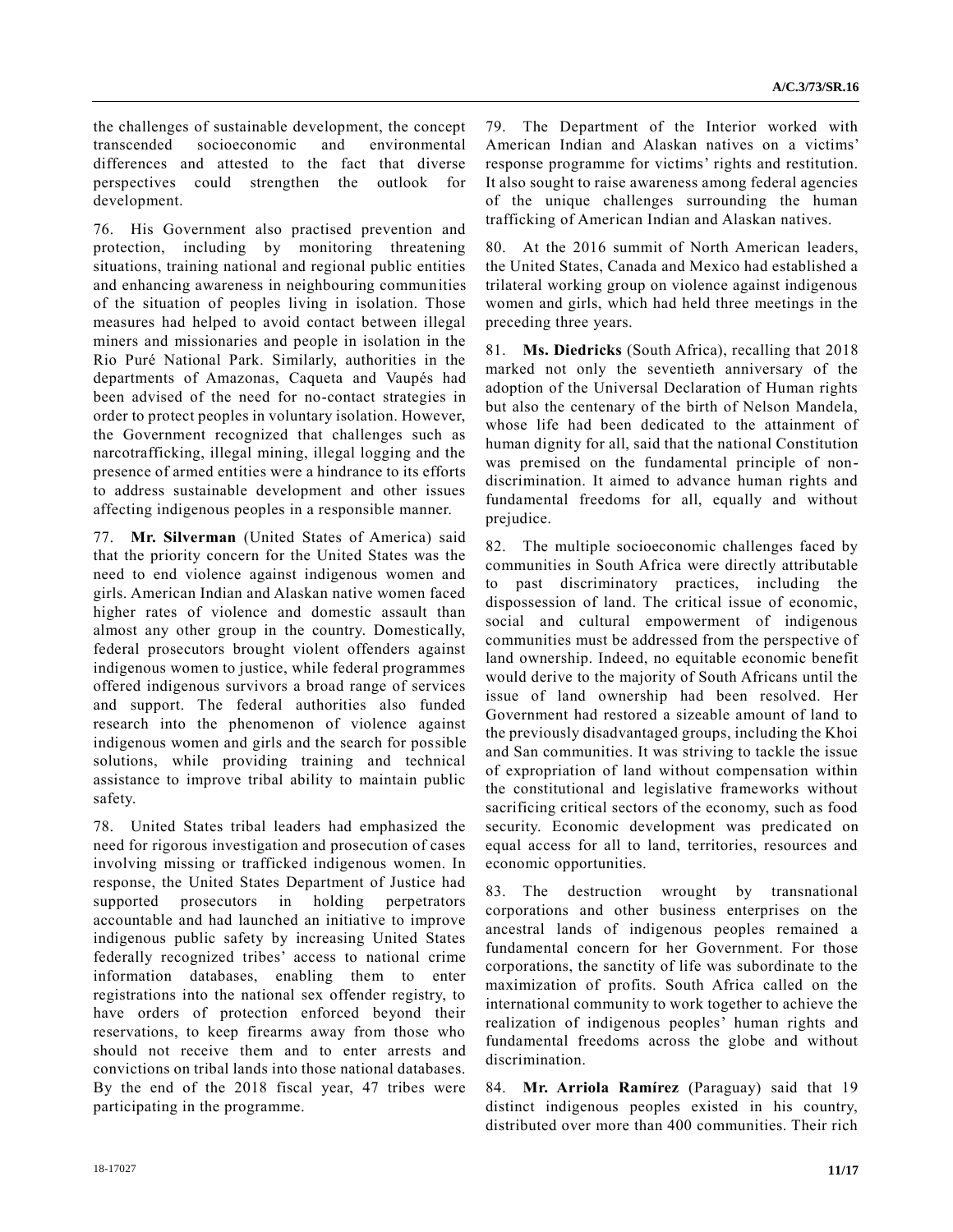the challenges of sustainable development, the concept transcended socioeconomic and environmental differences and attested to the fact that diverse perspectives could strengthen the outlook for development.

76. His Government also practised prevention and protection, including by monitoring threatening situations, training national and regional public entities and enhancing awareness in neighbouring communities of the situation of peoples living in isolation. Those measures had helped to avoid contact between illegal miners and missionaries and people in isolation in the Rio Puré National Park. Similarly, authorities in the departments of Amazonas, Caqueta and Vaupés had been advised of the need for no-contact strategies in order to protect peoples in voluntary isolation. However, the Government recognized that challenges such as narcotrafficking, illegal mining, illegal logging and the presence of armed entities were a hindrance to its efforts to address sustainable development and other issues affecting indigenous peoples in a responsible manner.

77. **Mr. Silverman** (United States of America) said that the priority concern for the United States was the need to end violence against indigenous women and girls. American Indian and Alaskan native women faced higher rates of violence and domestic assault than almost any other group in the country. Domestically, federal prosecutors brought violent offenders against indigenous women to justice, while federal programmes offered indigenous survivors a broad range of services and support. The federal authorities also funded research into the phenomenon of violence against indigenous women and girls and the search for possible solutions, while providing training and technical assistance to improve tribal ability to maintain public safety.

78. United States tribal leaders had emphasized the need for rigorous investigation and prosecution of cases involving missing or trafficked indigenous women. In response, the United States Department of Justice had supported prosecutors in holding perpetrators accountable and had launched an initiative to improve indigenous public safety by increasing United States federally recognized tribes' access to national crime information databases, enabling them to enter registrations into the national sex offender registry, to have orders of protection enforced beyond their reservations, to keep firearms away from those who should not receive them and to enter arrests and convictions on tribal lands into those national databases. By the end of the 2018 fiscal year, 47 tribes were participating in the programme.

79. The Department of the Interior worked with American Indian and Alaskan natives on a victims' response programme for victims' rights and restitution. It also sought to raise awareness among federal agencies of the unique challenges surrounding the human trafficking of American Indian and Alaskan natives.

80. At the 2016 summit of North American leaders, the United States, Canada and Mexico had established a trilateral working group on violence against indigenous women and girls, which had held three meetings in the preceding three years.

81. **Ms. Diedricks** (South Africa), recalling that 2018 marked not only the seventieth anniversary of the adoption of the Universal Declaration of Human rights but also the centenary of the birth of Nelson Mandela, whose life had been dedicated to the attainment of human dignity for all, said that the national Constitution was premised on the fundamental principle of nondiscrimination. It aimed to advance human rights and fundamental freedoms for all, equally and without prejudice.

82. The multiple socioeconomic challenges faced by communities in South Africa were directly attributable to past discriminatory practices, including the dispossession of land. The critical issue of economic, social and cultural empowerment of indigenous communities must be addressed from the perspective of land ownership. Indeed, no equitable economic benefit would derive to the majority of South Africans until the issue of land ownership had been resolved. Her Government had restored a sizeable amount of land to the previously disadvantaged groups, including the Khoi and San communities. It was striving to tackle the issue of expropriation of land without compensation within the constitutional and legislative frameworks without sacrificing critical sectors of the economy, such as food security. Economic development was predicated on equal access for all to land, territories, resources and economic opportunities.

83. The destruction wrought by transnational corporations and other business enterprises on the ancestral lands of indigenous peoples remained a fundamental concern for her Government. For those corporations, the sanctity of life was subordinate to the maximization of profits. South Africa called on the international community to work together to achieve the realization of indigenous peoples' human rights and fundamental freedoms across the globe and without discrimination.

84. **Mr. Arriola Ramírez** (Paraguay) said that 19 distinct indigenous peoples existed in his country, distributed over more than 400 communities. Their rich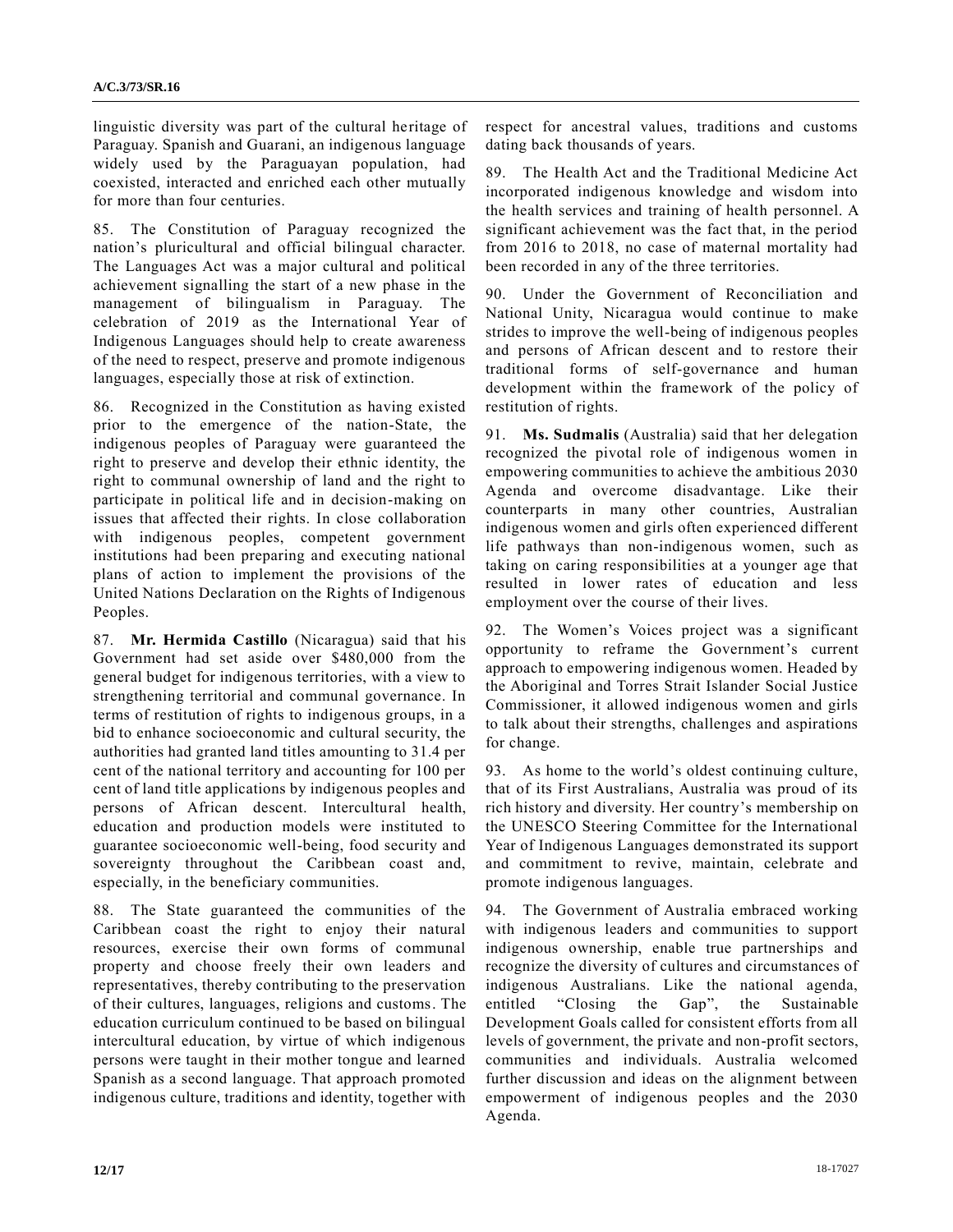linguistic diversity was part of the cultural heritage of Paraguay. Spanish and Guarani, an indigenous language widely used by the Paraguayan population, had coexisted, interacted and enriched each other mutually for more than four centuries.

85. The Constitution of Paraguay recognized the nation's pluricultural and official bilingual character. The Languages Act was a major cultural and political achievement signalling the start of a new phase in the management of bilingualism in Paraguay. The celebration of 2019 as the International Year of Indigenous Languages should help to create awareness of the need to respect, preserve and promote indigenous languages, especially those at risk of extinction.

86. Recognized in the Constitution as having existed prior to the emergence of the nation-State, the indigenous peoples of Paraguay were guaranteed the right to preserve and develop their ethnic identity, the right to communal ownership of land and the right to participate in political life and in decision-making on issues that affected their rights. In close collaboration with indigenous peoples, competent government institutions had been preparing and executing national plans of action to implement the provisions of the United Nations Declaration on the Rights of Indigenous Peoples.

87. **Mr. Hermida Castillo** (Nicaragua) said that his Government had set aside over \$480,000 from the general budget for indigenous territories, with a view to strengthening territorial and communal governance. In terms of restitution of rights to indigenous groups, in a bid to enhance socioeconomic and cultural security, the authorities had granted land titles amounting to 31.4 per cent of the national territory and accounting for 100 per cent of land title applications by indigenous peoples and persons of African descent. Intercultural health, education and production models were instituted to guarantee socioeconomic well-being, food security and sovereignty throughout the Caribbean coast and, especially, in the beneficiary communities.

88. The State guaranteed the communities of the Caribbean coast the right to enjoy their natural resources, exercise their own forms of communal property and choose freely their own leaders and representatives, thereby contributing to the preservation of their cultures, languages, religions and customs. The education curriculum continued to be based on bilingual intercultural education, by virtue of which indigenous persons were taught in their mother tongue and learned Spanish as a second language. That approach promoted indigenous culture, traditions and identity, together with respect for ancestral values, traditions and customs dating back thousands of years.

89. The Health Act and the Traditional Medicine Act incorporated indigenous knowledge and wisdom into the health services and training of health personnel. A significant achievement was the fact that, in the period from 2016 to 2018, no case of maternal mortality had been recorded in any of the three territories.

90. Under the Government of Reconciliation and National Unity, Nicaragua would continue to make strides to improve the well-being of indigenous peoples and persons of African descent and to restore their traditional forms of self-governance and human development within the framework of the policy of restitution of rights.

91. **Ms. Sudmalis** (Australia) said that her delegation recognized the pivotal role of indigenous women in empowering communities to achieve the ambitious 2030 Agenda and overcome disadvantage. Like their counterparts in many other countries, Australian indigenous women and girls often experienced different life pathways than non-indigenous women, such as taking on caring responsibilities at a younger age that resulted in lower rates of education and less employment over the course of their lives.

92. The Women's Voices project was a significant opportunity to reframe the Government's current approach to empowering indigenous women. Headed by the Aboriginal and Torres Strait Islander Social Justice Commissioner, it allowed indigenous women and girls to talk about their strengths, challenges and aspirations for change.

93. As home to the world's oldest continuing culture, that of its First Australians, Australia was proud of its rich history and diversity. Her country's membership on the UNESCO Steering Committee for the International Year of Indigenous Languages demonstrated its support and commitment to revive, maintain, celebrate and promote indigenous languages.

94. The Government of Australia embraced working with indigenous leaders and communities to support indigenous ownership, enable true partnerships and recognize the diversity of cultures and circumstances of indigenous Australians. Like the national agenda, entitled "Closing the Gap", the Sustainable Development Goals called for consistent efforts from all levels of government, the private and non-profit sectors, communities and individuals. Australia welcomed further discussion and ideas on the alignment between empowerment of indigenous peoples and the 2030 Agenda.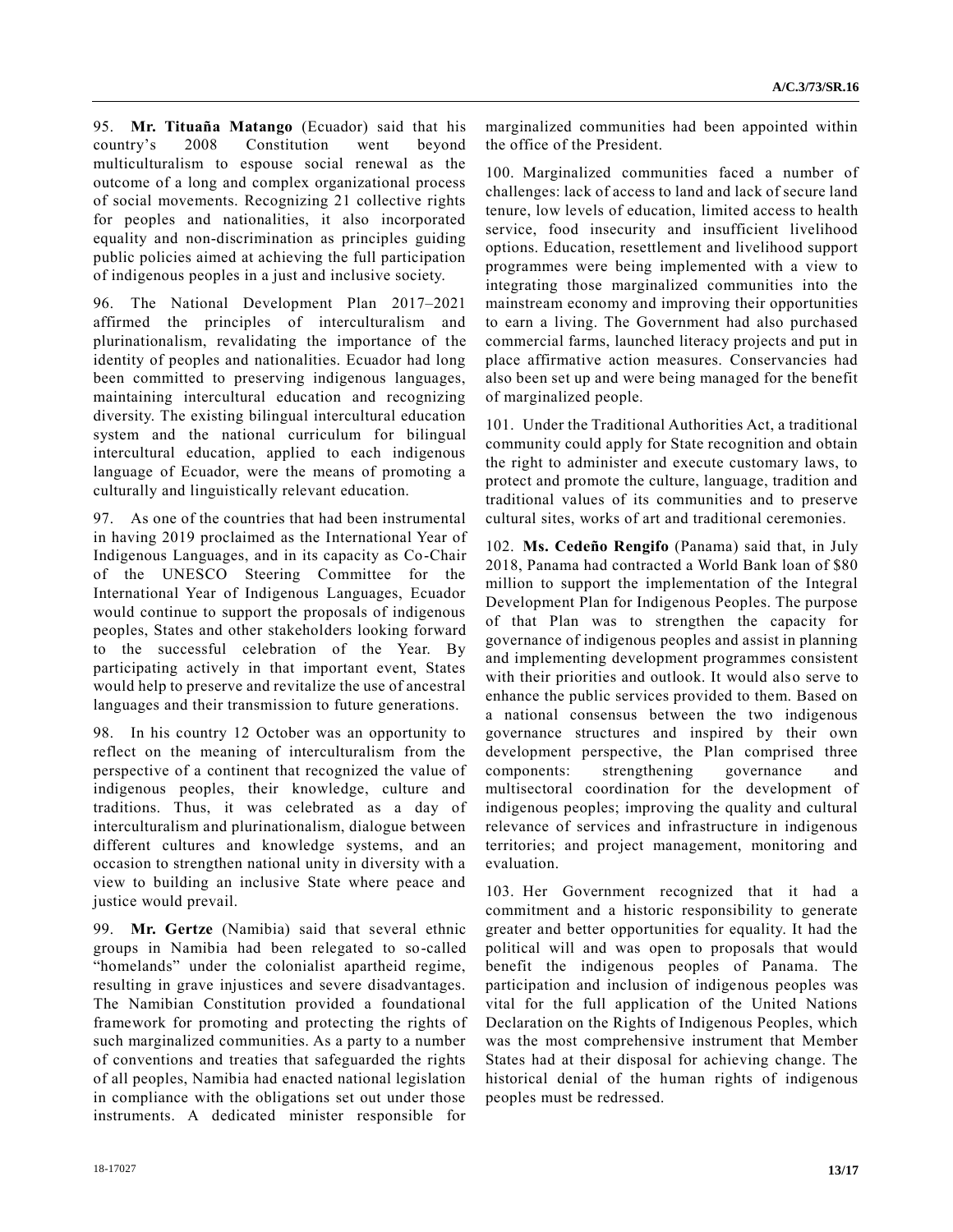95. **Mr. Tituaña Matango** (Ecuador) said that his country's 2008 Constitution went beyond multiculturalism to espouse social renewal as the outcome of a long and complex organizational process of social movements. Recognizing 21 collective rights for peoples and nationalities, it also incorporated equality and non-discrimination as principles guiding public policies aimed at achieving the full participation of indigenous peoples in a just and inclusive society.

96. The National Development Plan 2017–2021 affirmed the principles of interculturalism and plurinationalism, revalidating the importance of the identity of peoples and nationalities. Ecuador had long been committed to preserving indigenous languages, maintaining intercultural education and recognizing diversity. The existing bilingual intercultural education system and the national curriculum for bilingual intercultural education, applied to each indigenous language of Ecuador, were the means of promoting a culturally and linguistically relevant education.

97. As one of the countries that had been instrumental in having 2019 proclaimed as the International Year of Indigenous Languages, and in its capacity as Co-Chair of the UNESCO Steering Committee for the International Year of Indigenous Languages, Ecuador would continue to support the proposals of indigenous peoples, States and other stakeholders looking forward to the successful celebration of the Year. By participating actively in that important event, States would help to preserve and revitalize the use of ancestral languages and their transmission to future generations.

98. In his country 12 October was an opportunity to reflect on the meaning of interculturalism from the perspective of a continent that recognized the value of indigenous peoples, their knowledge, culture and traditions. Thus, it was celebrated as a day of interculturalism and plurinationalism, dialogue between different cultures and knowledge systems, and an occasion to strengthen national unity in diversity with a view to building an inclusive State where peace and justice would prevail.

99. **Mr. Gertze** (Namibia) said that several ethnic groups in Namibia had been relegated to so-called "homelands" under the colonialist apartheid regime, resulting in grave injustices and severe disadvantages. The Namibian Constitution provided a foundational framework for promoting and protecting the rights of such marginalized communities. As a party to a number of conventions and treaties that safeguarded the rights of all peoples, Namibia had enacted national legislation in compliance with the obligations set out under those instruments. A dedicated minister responsible for

marginalized communities had been appointed within the office of the President.

100. Marginalized communities faced a number of challenges: lack of access to land and lack of secure land tenure, low levels of education, limited access to health service, food insecurity and insufficient livelihood options. Education, resettlement and livelihood support programmes were being implemented with a view to integrating those marginalized communities into the mainstream economy and improving their opportunities to earn a living. The Government had also purchased commercial farms, launched literacy projects and put in place affirmative action measures. Conservancies had also been set up and were being managed for the benefit of marginalized people.

101. Under the Traditional Authorities Act, a traditional community could apply for State recognition and obtain the right to administer and execute customary laws, to protect and promote the culture, language, tradition and traditional values of its communities and to preserve cultural sites, works of art and traditional ceremonies.

102. **Ms. Cedeño Rengifo** (Panama) said that, in July 2018, Panama had contracted a World Bank loan of \$80 million to support the implementation of the Integral Development Plan for Indigenous Peoples. The purpose of that Plan was to strengthen the capacity for governance of indigenous peoples and assist in planning and implementing development programmes consistent with their priorities and outlook. It would also serve to enhance the public services provided to them. Based on a national consensus between the two indigenous governance structures and inspired by their own development perspective, the Plan comprised three components: strengthening governance and multisectoral coordination for the development of indigenous peoples; improving the quality and cultural relevance of services and infrastructure in indigenous territories; and project management, monitoring and evaluation.

103. Her Government recognized that it had a commitment and a historic responsibility to generate greater and better opportunities for equality. It had the political will and was open to proposals that would benefit the indigenous peoples of Panama. The participation and inclusion of indigenous peoples was vital for the full application of the United Nations Declaration on the Rights of Indigenous Peoples, which was the most comprehensive instrument that Member States had at their disposal for achieving change. The historical denial of the human rights of indigenous peoples must be redressed.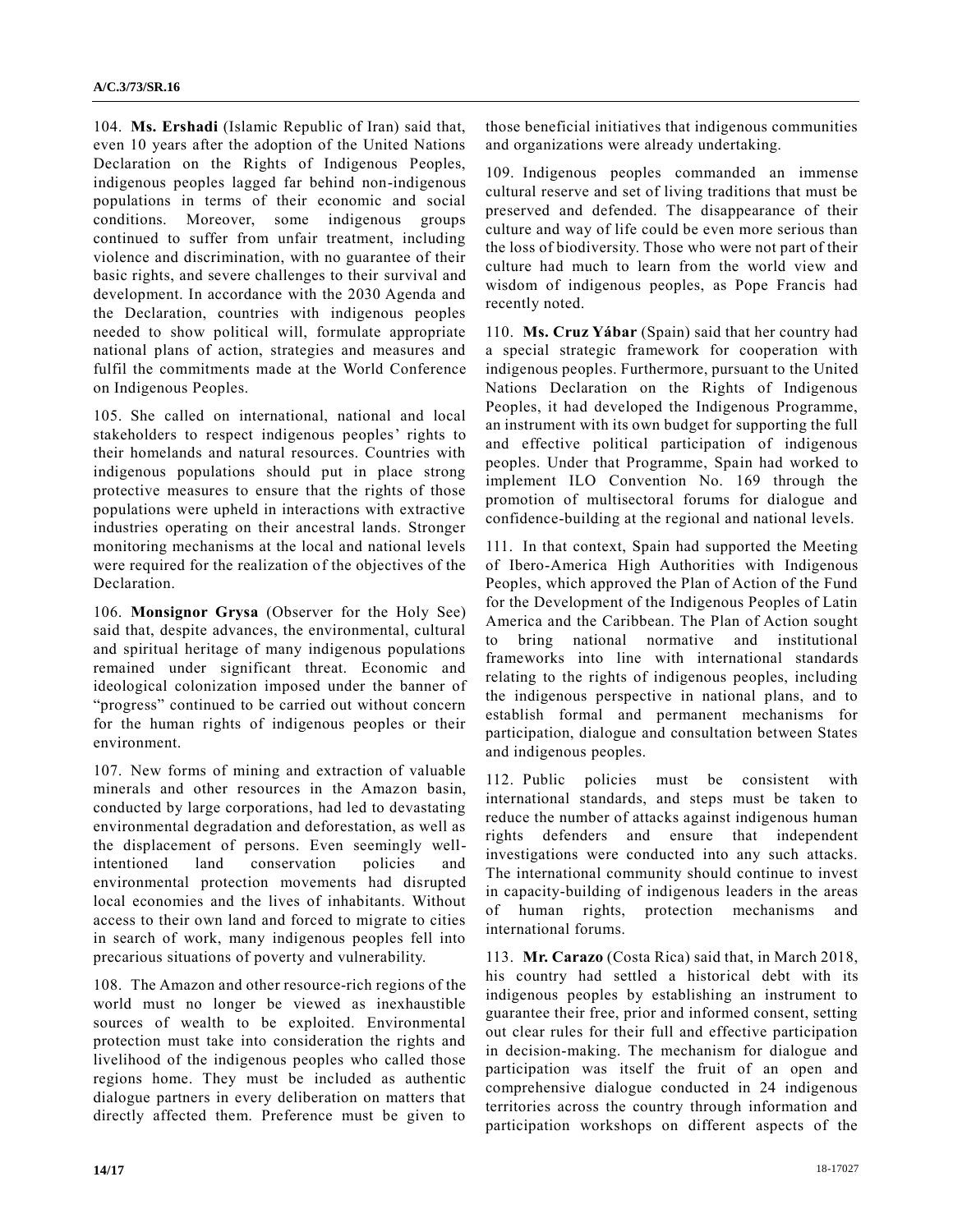104. **Ms. Ershadi** (Islamic Republic of Iran) said that, even 10 years after the adoption of the United Nations Declaration on the Rights of Indigenous Peoples, indigenous peoples lagged far behind non-indigenous populations in terms of their economic and social conditions. Moreover, some indigenous groups continued to suffer from unfair treatment, including violence and discrimination, with no guarantee of their basic rights, and severe challenges to their survival and development. In accordance with the 2030 Agenda and the Declaration, countries with indigenous peoples needed to show political will, formulate appropriate national plans of action, strategies and measures and fulfil the commitments made at the World Conference on Indigenous Peoples.

105. She called on international, national and local stakeholders to respect indigenous peoples' rights to their homelands and natural resources. Countries with indigenous populations should put in place strong protective measures to ensure that the rights of those populations were upheld in interactions with extractive industries operating on their ancestral lands. Stronger monitoring mechanisms at the local and national levels were required for the realization of the objectives of the Declaration.

106. **Monsignor Grysa** (Observer for the Holy See) said that, despite advances, the environmental, cultural and spiritual heritage of many indigenous populations remained under significant threat. Economic and ideological colonization imposed under the banner of "progress" continued to be carried out without concern for the human rights of indigenous peoples or their environment.

107. New forms of mining and extraction of valuable minerals and other resources in the Amazon basin, conducted by large corporations, had led to devastating environmental degradation and deforestation, as well as the displacement of persons. Even seemingly wellintentioned land conservation policies and environmental protection movements had disrupted local economies and the lives of inhabitants. Without access to their own land and forced to migrate to cities in search of work, many indigenous peoples fell into precarious situations of poverty and vulnerability.

108. The Amazon and other resource-rich regions of the world must no longer be viewed as inexhaustible sources of wealth to be exploited. Environmental protection must take into consideration the rights and livelihood of the indigenous peoples who called those regions home. They must be included as authentic dialogue partners in every deliberation on matters that directly affected them. Preference must be given to those beneficial initiatives that indigenous communities and organizations were already undertaking.

109. Indigenous peoples commanded an immense cultural reserve and set of living traditions that must be preserved and defended. The disappearance of their culture and way of life could be even more serious than the loss of biodiversity. Those who were not part of their culture had much to learn from the world view and wisdom of indigenous peoples, as Pope Francis had recently noted.

110. **Ms. Cruz Yábar** (Spain) said that her country had a special strategic framework for cooperation with indigenous peoples. Furthermore, pursuant to the United Nations Declaration on the Rights of Indigenous Peoples, it had developed the Indigenous Programme, an instrument with its own budget for supporting the full and effective political participation of indigenous peoples. Under that Programme, Spain had worked to implement ILO Convention No. 169 through the promotion of multisectoral forums for dialogue and confidence-building at the regional and national levels.

111. In that context, Spain had supported the Meeting of Ibero-America High Authorities with Indigenous Peoples, which approved the Plan of Action of the Fund for the Development of the Indigenous Peoples of Latin America and the Caribbean. The Plan of Action sought to bring national normative and institutional frameworks into line with international standards relating to the rights of indigenous peoples, including the indigenous perspective in national plans, and to establish formal and permanent mechanisms for participation, dialogue and consultation between States and indigenous peoples.

112. Public policies must be consistent with international standards, and steps must be taken to reduce the number of attacks against indigenous human rights defenders and ensure that independent investigations were conducted into any such attacks. The international community should continue to invest in capacity-building of indigenous leaders in the areas of human rights, protection mechanisms and international forums.

113. **Mr. Carazo** (Costa Rica) said that, in March 2018, his country had settled a historical debt with its indigenous peoples by establishing an instrument to guarantee their free, prior and informed consent, setting out clear rules for their full and effective participation in decision-making. The mechanism for dialogue and participation was itself the fruit of an open and comprehensive dialogue conducted in 24 indigenous territories across the country through information and participation workshops on different aspects of the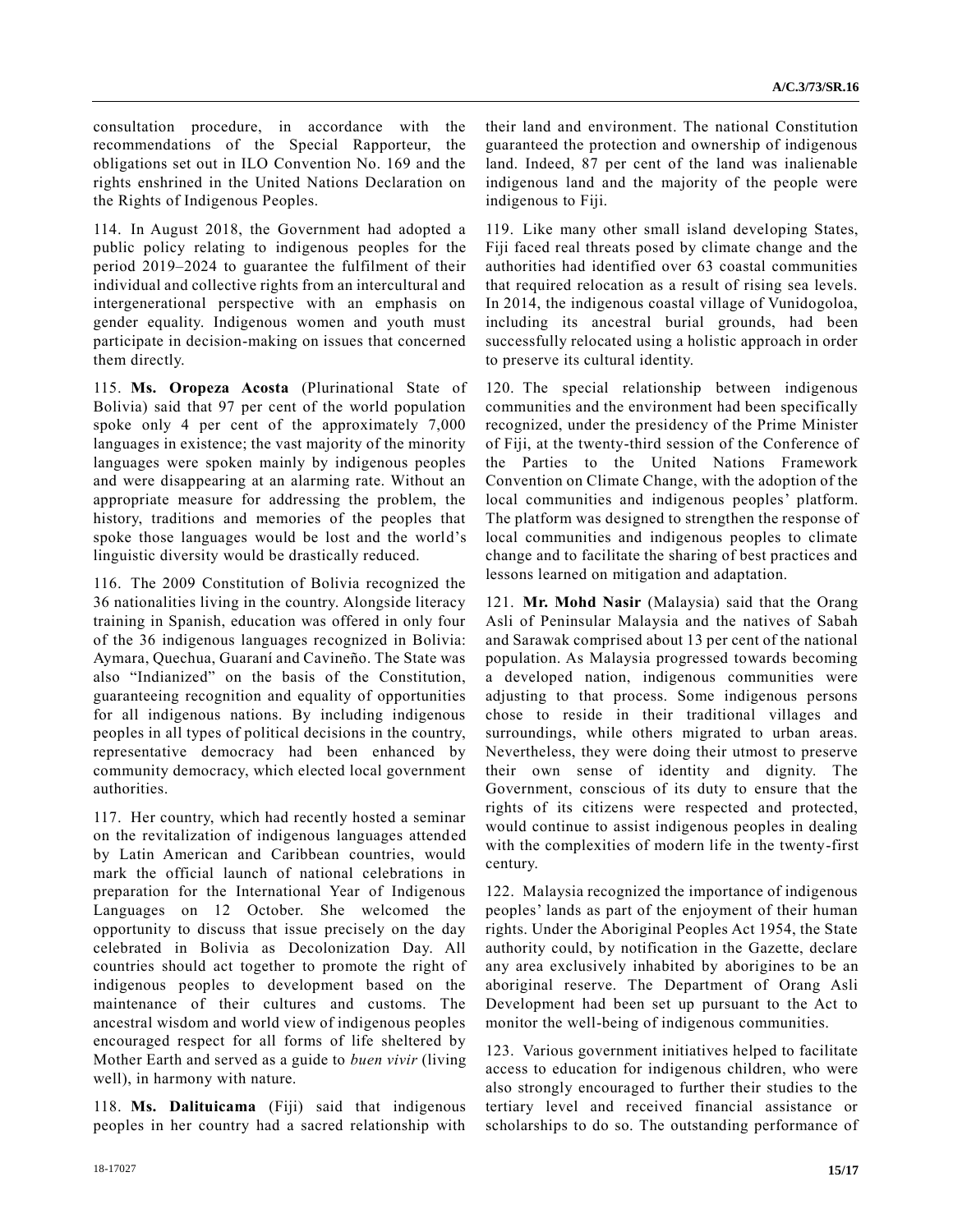consultation procedure, in accordance with the recommendations of the Special Rapporteur, the obligations set out in ILO Convention No. 169 and the rights enshrined in the United Nations Declaration on the Rights of Indigenous Peoples.

114. In August 2018, the Government had adopted a public policy relating to indigenous peoples for the period 2019–2024 to guarantee the fulfilment of their individual and collective rights from an intercultural and intergenerational perspective with an emphasis on gender equality. Indigenous women and youth must participate in decision-making on issues that concerned them directly.

115. **Ms. Oropeza Acosta** (Plurinational State of Bolivia) said that 97 per cent of the world population spoke only 4 per cent of the approximately 7,000 languages in existence; the vast majority of the minority languages were spoken mainly by indigenous peoples and were disappearing at an alarming rate. Without an appropriate measure for addressing the problem, the history, traditions and memories of the peoples that spoke those languages would be lost and the world's linguistic diversity would be drastically reduced.

116. The 2009 Constitution of Bolivia recognized the 36 nationalities living in the country. Alongside literacy training in Spanish, education was offered in only four of the 36 indigenous languages recognized in Bolivia: Aymara, Quechua, Guaraní and Cavineño. The State was also "Indianized" on the basis of the Constitution, guaranteeing recognition and equality of opportunities for all indigenous nations. By including indigenous peoples in all types of political decisions in the country, representative democracy had been enhanced by community democracy, which elected local government authorities.

117. Her country, which had recently hosted a seminar on the revitalization of indigenous languages attended by Latin American and Caribbean countries, would mark the official launch of national celebrations in preparation for the International Year of Indigenous Languages on 12 October. She welcomed the opportunity to discuss that issue precisely on the day celebrated in Bolivia as Decolonization Day. All countries should act together to promote the right of indigenous peoples to development based on the maintenance of their cultures and customs. The ancestral wisdom and world view of indigenous peoples encouraged respect for all forms of life sheltered by Mother Earth and served as a guide to *buen vivir* (living well), in harmony with nature.

118. **Ms. Dalituicama** (Fiji) said that indigenous peoples in her country had a sacred relationship with their land and environment. The national Constitution guaranteed the protection and ownership of indigenous land. Indeed, 87 per cent of the land was inalienable indigenous land and the majority of the people were indigenous to Fiji.

119. Like many other small island developing States, Fiji faced real threats posed by climate change and the authorities had identified over 63 coastal communities that required relocation as a result of rising sea levels. In 2014, the indigenous coastal village of Vunidogoloa, including its ancestral burial grounds, had been successfully relocated using a holistic approach in order to preserve its cultural identity.

120. The special relationship between indigenous communities and the environment had been specifically recognized, under the presidency of the Prime Minister of Fiji, at the twenty-third session of the Conference of the Parties to the United Nations Framework Convention on Climate Change, with the adoption of the local communities and indigenous peoples' platform. The platform was designed to strengthen the response of local communities and indigenous peoples to climate change and to facilitate the sharing of best practices and lessons learned on mitigation and adaptation.

121. **Mr. Mohd Nasir** (Malaysia) said that the Orang Asli of Peninsular Malaysia and the natives of Sabah and Sarawak comprised about 13 per cent of the national population. As Malaysia progressed towards becoming a developed nation, indigenous communities were adjusting to that process. Some indigenous persons chose to reside in their traditional villages and surroundings, while others migrated to urban areas. Nevertheless, they were doing their utmost to preserve their own sense of identity and dignity. The Government, conscious of its duty to ensure that the rights of its citizens were respected and protected, would continue to assist indigenous peoples in dealing with the complexities of modern life in the twenty-first century.

122. Malaysia recognized the importance of indigenous peoples' lands as part of the enjoyment of their human rights. Under the Aboriginal Peoples Act 1954, the State authority could, by notification in the Gazette, declare any area exclusively inhabited by aborigines to be an aboriginal reserve. The Department of Orang Asli Development had been set up pursuant to the Act to monitor the well-being of indigenous communities.

123. Various government initiatives helped to facilitate access to education for indigenous children, who were also strongly encouraged to further their studies to the tertiary level and received financial assistance or scholarships to do so. The outstanding performance of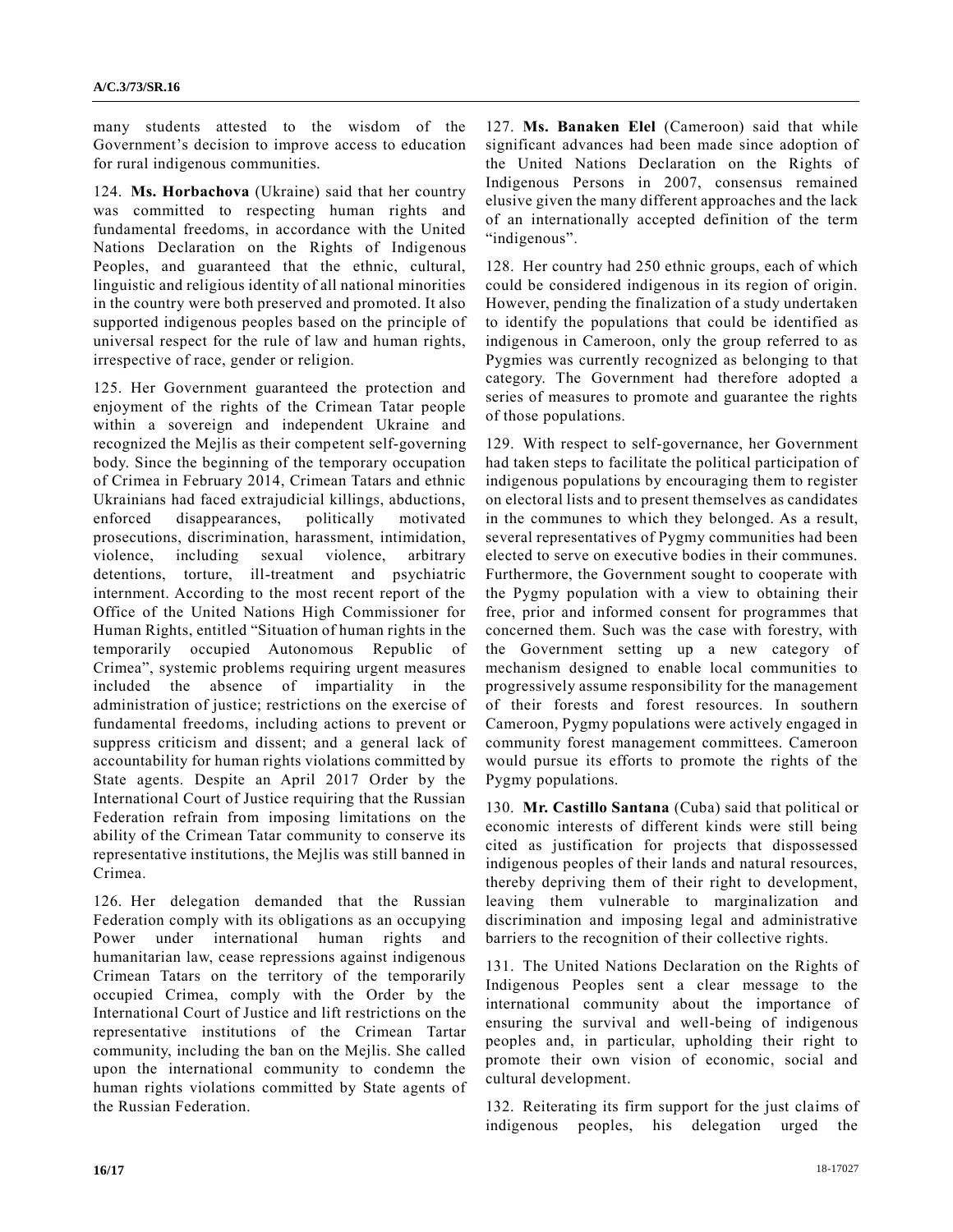many students attested to the wisdom of the Government's decision to improve access to education for rural indigenous communities.

124. **Ms. Horbachova** (Ukraine) said that her country was committed to respecting human rights and fundamental freedoms, in accordance with the United Nations Declaration on the Rights of Indigenous Peoples, and guaranteed that the ethnic, cultural, linguistic and religious identity of all national minorities in the country were both preserved and promoted. It also supported indigenous peoples based on the principle of universal respect for the rule of law and human rights, irrespective of race, gender or religion.

125. Her Government guaranteed the protection and enjoyment of the rights of the Crimean Tatar people within a sovereign and independent Ukraine and recognized the Mejlis as their competent self-governing body. Since the beginning of the temporary occupation of Crimea in February 2014, Crimean Tatars and ethnic Ukrainians had faced extrajudicial killings, abductions, enforced disappearances, politically motivated prosecutions, discrimination, harassment, intimidation, violence, including sexual violence, arbitrary detentions, torture, ill-treatment and psychiatric internment. According to the most recent report of the Office of the United Nations High Commissioner for Human Rights, entitled "Situation of human rights in the temporarily occupied Autonomous Republic of Crimea", systemic problems requiring urgent measures included the absence of impartiality in the administration of justice; restrictions on the exercise of fundamental freedoms, including actions to prevent or suppress criticism and dissent; and a general lack of accountability for human rights violations committed by State agents. Despite an April 2017 Order by the International Court of Justice requiring that the Russian Federation refrain from imposing limitations on the ability of the Crimean Tatar community to conserve its representative institutions, the Mejlis was still banned in Crimea.

126. Her delegation demanded that the Russian Federation comply with its obligations as an occupying Power under international human rights and humanitarian law, cease repressions against indigenous Crimean Tatars on the territory of the temporarily occupied Crimea, comply with the Order by the International Court of Justice and lift restrictions on the representative institutions of the Crimean Tartar community, including the ban on the Mejlis. She called upon the international community to condemn the human rights violations committed by State agents of the Russian Federation.

127. **Ms. Banaken Elel** (Cameroon) said that while significant advances had been made since adoption of the United Nations Declaration on the Rights of Indigenous Persons in 2007, consensus remained elusive given the many different approaches and the lack of an internationally accepted definition of the term "indigenous".

128. Her country had 250 ethnic groups, each of which could be considered indigenous in its region of origin. However, pending the finalization of a study undertaken to identify the populations that could be identified as indigenous in Cameroon, only the group referred to as Pygmies was currently recognized as belonging to that category. The Government had therefore adopted a series of measures to promote and guarantee the rights of those populations.

129. With respect to self-governance, her Government had taken steps to facilitate the political participation of indigenous populations by encouraging them to register on electoral lists and to present themselves as candidates in the communes to which they belonged. As a result, several representatives of Pygmy communities had been elected to serve on executive bodies in their communes. Furthermore, the Government sought to cooperate with the Pygmy population with a view to obtaining their free, prior and informed consent for programmes that concerned them. Such was the case with forestry, with the Government setting up a new category of mechanism designed to enable local communities to progressively assume responsibility for the management of their forests and forest resources. In southern Cameroon, Pygmy populations were actively engaged in community forest management committees. Cameroon would pursue its efforts to promote the rights of the Pygmy populations.

130. **Mr. Castillo Santana** (Cuba) said that political or economic interests of different kinds were still being cited as justification for projects that dispossessed indigenous peoples of their lands and natural resources, thereby depriving them of their right to development, leaving them vulnerable to marginalization and discrimination and imposing legal and administrative barriers to the recognition of their collective rights.

131. The United Nations Declaration on the Rights of Indigenous Peoples sent a clear message to the international community about the importance of ensuring the survival and well-being of indigenous peoples and, in particular, upholding their right to promote their own vision of economic, social and cultural development.

132. Reiterating its firm support for the just claims of indigenous peoples, his delegation urged the